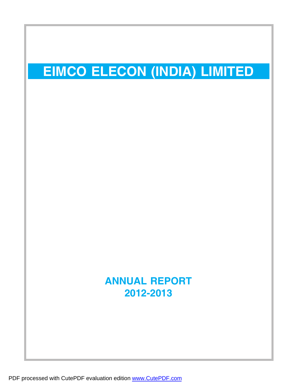# **EIMCO ELECON (INDIA) LIMITED**

**EIMCO ELECON (INDIA) LIMITED**

39th Annual Report\_2012-13 53

## **ANNUAL REPORT 2012-2013**

PDF processed with CutePDF evaluation edition [www.CutePDF.com](http://www.cutepdf.com)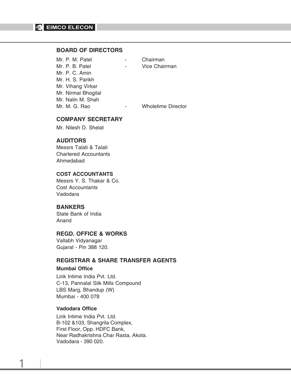#### **BOARD OF DIRECTORS**

| Mr. P. M. Patel     | Chairman                  |
|---------------------|---------------------------|
| Mr. P. B. Patel     | Vice Chairman             |
| Mr. P. C. Amin      |                           |
| Mr. H. S. Parikh    |                           |
| Mr. Vihang Virkar   |                           |
| Mr. Nirmal Bhogilal |                           |
| Mr. Nalin M. Shah   |                           |
| Mr. M. G. Rao       | <b>Wholetime Director</b> |
|                     |                           |

## **COMPANY SECRETARY**

Mr. Nilesh D. Shelat

## **AUDITORS**

Messrs Talati & Talati Chartered Accountants Ahmedabad

## **COST ACCOUNTANTS**

Messrs Y. S. Thakar & Co. Cost Accountants Vadodara

## **BANKERS**

State Bank of India Anand

## **REGD. OFFICE & WORKS**

Vallabh Vidyanagar Gujarat - Pin 388 120.

## **REGISTRAR & SHARE TRANSFER AGENTS Mumbai Office**

Link Intime India Pvt. Ltd. C-13, Pannalal Silk Mills Compound LBS Marg, Bhandup (W) Mumbai - 400 078

#### **Vadodara Office**

1

Link Intime India Pvt. Ltd. B-102 &103, Shangrila Complex, First Floor, Opp. HDFC Bank, Near Radhakrishna Char Rasta, Akota. Vadodara - 390 020.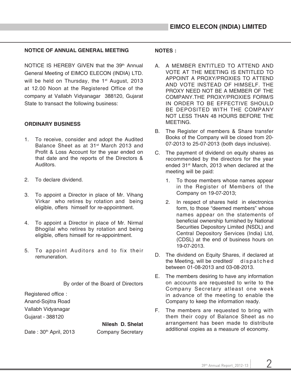#### **NOTICE OF ANNUAL GENERAL MEETING**

NOTICE IS HEREBY GIVEN that the 39<sup>th</sup> Annual General Meeting of EIMCO ELECON (INDIA) LTD. will be held on Thursday, the 1<sup>st</sup> August, 2013 at 12.00 Noon at the Registered Office of the company at Vallabh Vidyanagar 388120, Gujarat State to transact the following business:

#### **ORDINARY BUSINESS**

- 1. To receive, consider and adopt the Audited Balance Sheet as at 31<sup>st</sup> March 2013 and Profit & Loss Account for the year ended on that date and the reports of the Directors & Auditors.
- 2. To declare dividend.
- 3. To appoint a Director in place of Mr. Vihang Virkar who retires by rotation and being eligible, offers himself for re-appointment.
- 4. To appoint a Director in place of Mr. Nirmal Bhogilal who retires by rotation and being eligible, offers himself for re-appointment.
- 5. To appoint Auditors and to fix their remuneration.

By order of the Board of Directors

Registered office : Anand-Sojitra Road Vallabh Vidyanagar Gujarat - 388120

Date : 30<sup>th</sup> April, 2013 Company Secretary

**Nilesh D. Shelat**

#### **NOTES :**

- A. A MEMBER ENTITLED TO ATTEND AND VOTE AT THE MEETING IS ENTITLED TO APPOINT A PROXY/PROXIES TO ATTEND AND VOTE INSTEAD OF HIMSELF. THE PROXY NEED NOT BE A MEMBER OF THE COMPANY.THE PROXY/PROXIES FORM/S IN ORDER TO BE EFFECTIVE SHOULD BE DEPOSITED WITH THE COMPANY NOT LESS THAN 48 HOURS BEFORE THE MEETING.
- B. The Register of members & Share transfer Books of the Company will be closed from 20- 07-2013 to 25-07-2013 (both days inclusive).
- C. The payment of dividend on equity shares as recommended by the directors for the year ended 31st March, 2013 when declared at the meeting will be paid:
	- 1. To those members whose names appear in the Register of Members of the Company on 19-07-2013;
	- 2. In respect of shares held in electronics form, to those "deemed members" whose names appear on the statements of beneficial ownership furnished by National Securities Depository Limited (NSDL) and Central Depository Services (India) Ltd, (CDSL) at the end of business hours on 19-07-2013.
- D. The dividend on Equity Shares, if declared at the Meeting, will be credited/ dispatched between 01-08-2013 and 03-08-2013.
- E. The members desiring to have any information on accounts are requested to write to the Company Secretary atleast one week in advance of the meeting to enable the Company to keep the information ready.
- F. The members are requested to bring with them their copy of Balance Sheet as no arrangement has been made to distribute additional copies as a measure of economy.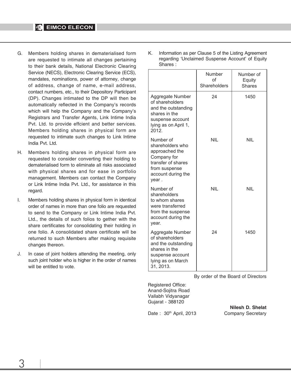- G. Members holding shares in dematerialised form are requested to intimate all changes pertaining to their bank details, National Electronic Clearing Service (NECS), Electronic Clearing Service (ECS), mandates, nominations, power of attorney, change of address, change of name, e-mail address, contact numbers, etc., to their Depository Participant (DP). Changes intimated to the DP will then be automatically reflected in the Company's records which will help the Company and the Company's Registrars and Transfer Agents, Link Intime India Pvt. Ltd. to provide effcient and better services. Members holding shares in physical form are requested to intimate such changes to Link Intime India Pvt. Ltd.
- H. Members holding shares in physical form are requested to consider converting their holding to dematerialised form to eliminate all risks associated with physical shares and for ease in portfolio management. Members can contact the Company or Link Intime India Pvt. Ltd., for assistance in this regard.
- I. Members holding shares in physical form in identical order of names in more than one folio are requested to send to the Company or Link Intime India Pvt. Ltd., the details of such folios to gether with the share certificates for consolidating their holding in one folio. A consolidated share certificate will be returned to such Members after making requisite changes thereon.
- J. In case of joint holders attending the meeting, only such joint holder who is higher in the order of names will be entitled to vote.

K. Information as per Clause 5 of the Listing Agreement regarding 'Unclaimed Suspense Account' of Equity Shares :

|                                                                                                                                      | Number<br>Ωf<br>Shareholders | Number of<br>Equity<br><b>Shares</b> |
|--------------------------------------------------------------------------------------------------------------------------------------|------------------------------|--------------------------------------|
| Aggregate Number<br>of shareholders<br>and the outstanding<br>shares in the<br>suspense account<br>lying as on April 1,<br>2012.     | 24                           | 1450                                 |
| Number of<br>shareholders who<br>approached the<br>Company for<br>transfer of shares<br>from suspense<br>account during the<br>year. | NIL                          | <b>NIL</b>                           |
| Number of<br>shareholders<br>to whom shares<br>were transferred<br>from the suspense<br>account during the<br>year.                  | nil                          | <b>NIL</b>                           |
| Aggregate Number<br>of shareholders<br>and the outstanding<br>shares in the<br>suspense account<br>lying as on March<br>31, 2013.    | 24                           | 1450                                 |

By order of the Board of Directors

Registered Office: Anand-Sojitra Road Vallabh Vidyanagar Gujarat - 388120 Date :  $30<sup>th</sup>$  April, 2013

**Nilesh D. Shelat**<br>Company Secretary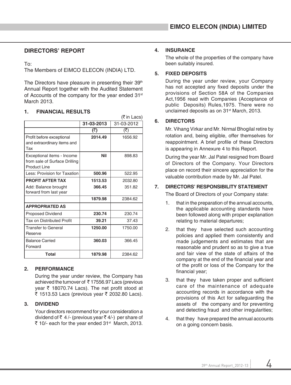## **DIRECTORS' REPORT**

To:

The Members of EIMCO ELECON (INDIA) LTD.

The Directors have pleasure in presenting their 39<sup>th</sup> Annual Report together with the Audited Statement of Accounts of the company for the year ended 31<sup>st</sup> March 2013.

| <b>FINANCIAL RESULTS</b><br>1. |  |
|--------------------------------|--|
|--------------------------------|--|

|                                                                                    |            | (₹in Lacs) |
|------------------------------------------------------------------------------------|------------|------------|
|                                                                                    | 31-03-2013 | 31-03-2012 |
|                                                                                    | (₹)        | (₹)        |
| Profit before exceptional<br>and extraordinary items and<br>Tax                    | 2014.49    | 1656.92    |
| Exceptional items - Income<br>from sale of Surface Drilling<br><b>Product Line</b> | <b>Nil</b> | 898.83     |
| Less: Provision for Taxation                                                       | 500.96     | 522.95     |
| <b>PROFIT AFTER TAX</b>                                                            | 1513.53    | 2032.80    |
| Add: Balance brought<br>forward from last year                                     | 366.45     | 351.82     |
|                                                                                    | 1879.98    | 2384.62    |
| <b>APPROPRIATED AS</b>                                                             |            |            |
| Proposed Dividend                                                                  | 230.74     | 230.74     |
| <b>Tax on Distributed Profit</b>                                                   | 39.21      | 37.43      |
| <b>Transfer to General</b><br>Reserve                                              | 1250.00    | 1750.00    |
| <b>Balance Carried</b><br>Forward                                                  | 360.03     | 366.45     |
| <b>Total</b>                                                                       | 1879.98    | 2384.62    |

## **2. PERFORMANCE**

During the year under review, the Company has achieved the turnover of  $\bar{\tau}$  17556.97 Lacs (previous year  $\bar{\tau}$  18070.74 Lacs). The net profit stood at ₹ 1513.53 Lacs (previous year  $\bar{z}$  2032.80 Lacs).

## **3. DIVIDEND**

Your directors recommend for your consideration a dividend of  $\bar{\tau}$  4/- (previous year  $\bar{\tau}$  4/-) per share of  $\bar{\tau}$  10/- each for the year ended 31<sup>st</sup> March, 2013.

## **4. INSURANCE**

The whole of the properties of the company have been suitably insured.

## **5. FIXED DEPOSITS**

During the year under review, your Company has not accepted any fixed deposits under the provisions of Section 58A of the Companies Act,1956 read with Companies (Acceptance of public Deposits) Rules,1975. There were no unclaimed deposits as on 31<sup>st</sup> March, 2013.

## **6. DIRECTORS**

Mr. Vihang Virkar and Mr. Nirmal Bhogilal retire by rotation and, being eligible, offer themselves for reappointment. A brief profile of these Directors is appearing in Annexure 4 to this Report.

During the year Mr. Jal Patel resigned from Board of Directors of the Company. Your Directors place on record their sincere appreciation for the valuable contribution made by Mr. Jal Patel.

## **7. DIRECTORS' RESPONSIBILITY STATEMENT**

The Board of Directors of your Company state:

- 1. that in the preparation of the annual accounts, the applicable accounting standards have been followed along with proper explanation relating to material departures;
- 2. that they have selected such accounting policies and applied them consistently and made judgements and estimates that are reasonable and prudent so as to give a true and fair view of the state of affairs of the company at the end of the financial year and of the profit or loss of the Company for the financial year;
- 3. that they have taken proper and sufficient care of the maintenance of adequate accounting records in accordance with the provisions of this Act for safeguarding the assets of the company and for preventing and detecting fraud and other irregularities;
- 4. that they have prepared the annual accounts on a going concern basis.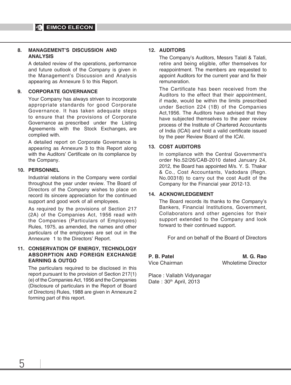#### **8. MANAGEMENT'S DISCUSSION AND ANALYSIS**

A detailed review of the operations, performance and future outlook of the Company is given in the Management's Discussion and Analysis appearing as Annexure 5 to this Report.

#### **9. CORPORATE GOVERNANCE**

Your Company has always striven to incorporate appropriate standards for good Corporate Governance. It has taken adequate steps to ensure that the provisions of Corporate Governance as prescribed under the Listing Agreements with the Stock Exchanges, are complied with.

A detailed report on Corporate Governance is appearing as Annexure 3 to this Report along with the Auditors' Certificate on its compliance by the Company.

#### **10. PERSONNEL**

Industrial relations in the Company were cordial throughout the year under review. The Board of Directors of the Company wishes to place on record its sincere appreciation for the continued support and good work of all employees.

As required by the provisions of Section 217 (2A) of the Companies Act, 1956 read with the Companies (Particulars of Employees) Rules, 1975, as amended, the names and other particulars of the employees are set out in the Annexure 1 to the Directors' Report.

#### **11. CONSERVATION OF ENERGY, TECHNOLOGY ABSORPTION AND FOREIGN EXCHANGE EARNING & OUTGO**

The particulars required to be disclosed in this report pursuant to the provision of Section 217(1) (e) of the Companies Act, 1956 and the Companies (Disclosure of particulars in the Report of Board of Directors) Rules, 1988 are given in Annexure 2 forming part of this report.

#### **12. AUDITORS**

The Company's Auditors, Messrs Talati & Talati, retire and being eligible, offer themselves for reappointment. The members are requested to appoint Auditors for the current year and fix their remuneration.

The Certificate has been received from the Auditors to the effect that their appointment, if made, would be within the limits prescribed under Section 224 (1B) of the Companies Act,1956. The Auditors have advised that they have subjected themselves to the peer review process of the Institute of Chartered Accountants of India (ICAI) and hold a valid certificate issued by the peer Review Board of the ICAI.

#### **13. COST AUDITORS**

In compliance with the Central Government's order No.52/26/CAB-2010 dated January 24, 2012, the Board has appointed M/s. Y. S. Thakar & Co., Cost Accountants, Vadodara (Regn. No.00318) to carry out the cost Audit of the Company for the Financial year 2012-13.

#### **14. ACKNOWLEDGEMENT**

The Board records its thanks to the Company's Bankers, Financial Institutions, Government, Collaborators and other agencies for their support extended to the Company and look forward to their continued support.

For and on behalf of the Board of Directors

**P. B. Patel M. G. Rao** Vice Chairman Wholetime Director

Place : Vallabh Vidyanagar Date: 30<sup>th</sup> April, 2013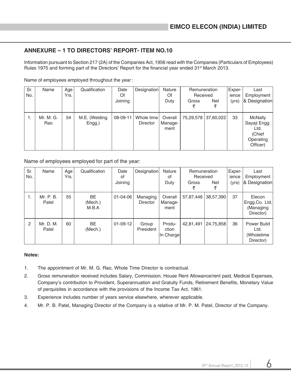## **ANNEXURE – 1 TO DIRECTORS' REPORT- ITEM NO.10**

Information pursuant to Section 217 (2A) of the Companies Act, 1956 read with the Companies (Particulars of Employees) Rules 1975 and forming part of the Directors' Report for the financial year ended 31<sup>st</sup> March 2013.

| Sr. | Name             | Age  | Qualification           | Date     | Designation                   | Nature                     | Remuneration        |            | Exper- | Last                                                                      |
|-----|------------------|------|-------------------------|----------|-------------------------------|----------------------------|---------------------|------------|--------|---------------------------------------------------------------------------|
| No. |                  | Yrs. |                         | Of       |                               | Of                         | Received            |            | ience  | Employment                                                                |
|     |                  |      |                         | Joining  |                               | Duty                       | Gross               | <b>Net</b> | (yrs)  | <b>&amp; Designation</b>                                                  |
|     |                  |      |                         |          |                               |                            |                     |            |        |                                                                           |
| Ι.  | Mr. M. G.<br>Rao | 54   | M.E. (Welding<br>Engg.) | 08-09-11 | Whole time<br><b>Director</b> | Overall<br>Manage-<br>ment | 75,29,578 37,60,022 |            | 33     | <b>McNally</b><br>Sayaji Engg.<br>Ltd.<br>(Chief<br>Operating<br>Officer) |

Name of employees employed throughout the year :

Name of employees employed for part of the year:

| Sr.<br>No. | Name               | Age<br>Yrs. | Qualification                 | Date<br>οf<br>Joining | Designation                 | <b>Nature</b><br>οf<br>Duty  | Remuneration<br>Received<br>Gross | <b>Net</b> | Exper-<br>ience<br>(yrs) | Last<br>Employment<br>& Designation                   |
|------------|--------------------|-------------|-------------------------------|-----------------------|-----------------------------|------------------------------|-----------------------------------|------------|--------------------------|-------------------------------------------------------|
| Ι.         | Mr. P. B.<br>Patel | 55          | <b>BE</b><br>(Mech.)<br>M.B.A | $01 - 04 - 06$        | Managing<br><b>Director</b> | Overall<br>Manage-<br>ment   | 57,87,446                         | 38,57,390  | 37                       | Elecon<br>Engg.Co. Ltd.<br>(Managing<br>Director)     |
| 2          | Mr. D. M.<br>Patel | 60          | BE.<br>(Mech.)                | $01 - 09 - 12$        | Group<br>President          | Produ-<br>ction<br>In Charge | 42,81,491                         | 24,75,858  | 36                       | <b>Power Build</b><br>Ltd.<br>(Wholetime<br>Director) |

#### **Notes:**

- 1. The appointment of Mr. M. G. Rao, Whole Time Director is contractual.
- 2. Gross remuneration received includes Salary, Commission, House Rent Allowance/rent paid, Medical Expenses, Company's contribution to Provident, Superannuation and Gratuity Funds, Retirement Benefits, Monetary Value of perquisites in accordance with the provisions of the Income Tax Act, 1961.
- 3. Experience includes number of years service elsewhere, wherever applicable.
- 4. Mr. P. B. Patel, Managing Director of the Company is a relative of Mr. P. M. Patel, Director of the Company.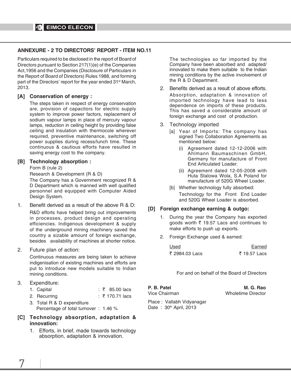## **ANNEXURE - 2 TO DIRECTORS' REPORT - ITEM NO.11**

Particulars required to be disclosed in the report of Board of Directors pursuant to Section 217(1)(e) of the Companies Act,1956 and the Companies (Disclosure of Particulars in the Report of Board of Directors) Rules 1988, and forming part of the Directors' report for the year ended 31<sup>st</sup> March. 2013.

#### **[A] Conservation of energy :**

The steps taken in respect of energy conservation are, provision of capacitors for electric supply system to improve power factors, replacement of sodium vapour lamps in place of mercury vapour lamps, reduction in ceiling height by providing false ceiling and insulation with thermocole wherever required, preventive maintenance, switching off power supplies during recess/lunch time. These continuous & cautious efforts have resulted in saving energy cost to the company.

#### **[B] Technology absorption :**

Form B (rule 2)

Research & Development (R & D)

The Company has a Government recognized R & D Department which is manned with well qualified personnel and equipped with Computer Aided Design System.

- 1. Benefit derived as a result of the above R & D: R&D efforts have helped bring out improvements in processes, product design and operating efficiencies. Indigenous development & supply of the underground mining machinery saved the country a sizable amount of foreign exchange. besides availability of machines at shorter notice.
- 2. Future plan of action:

Continuous measures are being taken to achieve indigenisation of existing machines and efforts are put to introduce new models suitable to Indian mining conditions.

#### 3. Expenditure:

7

| : ₹ 85.00 lacs |
|----------------|
|                |

- 2. Recurring  $\ddot{\bar{\xi}}$  170.71 lacs
- 3. Total R & D expenditure Percentage of total turnover : 1.46 %
- **[C] Technology absorption, adaptation & innovation:**
	- 1. Efforts, in brief, made towards technology absorption, adaptation & innovation.

 The technologies so far imported by the Company have been absorbed and adapted/ innovated to make them suitable to the Indian mining conditions by the active involvement of the R & D Department.

- 2. Benefits derived as a result of above efforts. Absorption, adaptation & innovation of imported technology have lead to less dependence on imports of these products. This has saved a considerable amount of foreign exchange and cost of production.
- 3. Technology imported
	- [a] Year of Imports: The company has signed Two Collaboration Agreements as mentioned below:
		- (i) Agreement dated 12-12-2006 with Ahlmann Baumaschinen GmbH, Germany for manufacture of Front End Articulated Loader.
		- (ii) Agreement dated 12-05-2008 with Huta Stalowa Wola, S.A Poland for manufacture of 520G Wheel Loader.
	- [b] Whether technology fully absorbed:

 Technology for the Front End Loader and 520G Wheel Loader is absorbed.

#### **[D] Foreign exchange earning & outgo:**

- 1. During the year the Company has exported goods worth  $\bar{\tau}$  19.57 Lacs and continues to make efforts to push up exports.
- 2. Foreign Exchange used & earned:

| Used           | Earned       |
|----------------|--------------|
| ₹ 2984.03 Lacs | ₹ 19.57 Lacs |

For and on behalf of the Board of Directors

| P. B. Patel   | M. G. Rao                 |
|---------------|---------------------------|
| Vice Chairman | <b>Wholetime Director</b> |

Place : Vallabh Vidyanagar Date: 30th April, 2013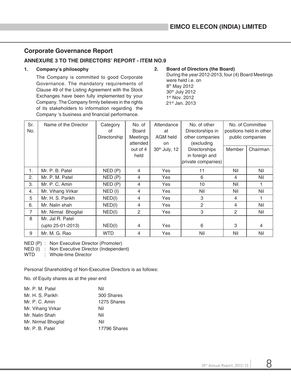## **Corporate Governance Report**

## **ANNEXURE 3 TO THE DIRECTORS' REPORT - ITEM NO.9**

#### **1. Company's philosophy**

The Company is committed to good Corporate Governance. The mandatory requirements of Clause 49 of the Listing Agreement with the Stock Exchanges have been fully implemented by your Company. The Company firmly believes in the rights of its stakeholders to information regarding the Company 's business and financial performance.

#### **2. Board of Directors (the Board)**

During the year 2012-2013, four (4) Board Meetings were held i.e. on 8th May 2012 30th July 2012 1st Nov. 2012 21st Jan. 2013

| Sr.<br>No.     | Name of the Director | Category<br>οt<br>Directorship | No. of<br><b>Board</b><br>Meetings<br>attended | Attendance<br>at<br><b>AGM held</b><br>on | No. of other<br>Directorships in<br>other companies<br>(excluding | No. of Committee<br>positions held in other<br>public companies |          |
|----------------|----------------------|--------------------------------|------------------------------------------------|-------------------------------------------|-------------------------------------------------------------------|-----------------------------------------------------------------|----------|
|                |                      |                                | out of 4                                       | 30 <sup>th</sup> July, 12                 | Directorships                                                     | Member                                                          | Chairman |
|                |                      |                                | held                                           |                                           | in foreign and                                                    |                                                                 |          |
|                |                      |                                |                                                |                                           | private companies)                                                |                                                                 |          |
| 1.             | Mr. P. B. Patel      | NED(P)                         | 4                                              | Yes                                       | 11                                                                | Nil                                                             | Nil      |
| 2.             | Mr. P. M. Patel      | NED(P)                         | 4                                              | Yes                                       | 6                                                                 | 4                                                               | Nil      |
| 3.             | Mr. P. C. Amin       | NED(P)                         | $\overline{4}$                                 | Yes                                       | 10                                                                | Nil                                                             |          |
| 4.             | Mr. Vihang Virkar    | $NED$ (I)                      | $\overline{4}$                                 | <b>Yes</b>                                | Nil                                                               | Nil                                                             | Nil      |
| 5              | Mr. H. S. Parikh     | NED(I)                         | 4                                              | <b>Yes</b>                                | 3                                                                 | 4                                                               |          |
| 6.             | Mr. Nalin shah       | NED(I)                         | 4                                              | <b>Yes</b>                                | $\overline{2}$                                                    | 4                                                               | Nil      |
| $\overline{7}$ | Mr. Nirmal Bhogilal  | NED(I)                         | $\overline{2}$                                 | Yes                                       | 3                                                                 | 2                                                               | Nil      |
| 8              | Mr. Jal R. Patel     |                                |                                                |                                           |                                                                   |                                                                 |          |
|                | (upto 25-01-2013)    | NED(I)                         | 4                                              | Yes                                       | 6                                                                 | 3                                                               | 4        |
| 9              | Mr. M. G. Rao        | <b>WTD</b>                     | 4                                              | Yes                                       | Nil                                                               | Nil                                                             | Nil      |

NED (P) : Non Executive Director (Promoter)

NED (I) : Non Executive Director (Independent)<br>WTD : Whole-time Director

: Whole-time Director

Personal Shareholding of Non-Executive Directors is as follows:

No. of Equity shares as at the year end

| Mr. P. M. Patel     | Nil          |
|---------------------|--------------|
| Mr. H. S. Parikh    | 300 Shares   |
| Mr. P. C. Amin      | 1275 Shares  |
| Mr. Vihang Virkar   | Nil          |
| Mr. Nalin Shah      | Nil          |
| Mr. Nirmal Bhogilal | Nil          |
| Mr. P. B. Patel     | 17796 Shares |
|                     |              |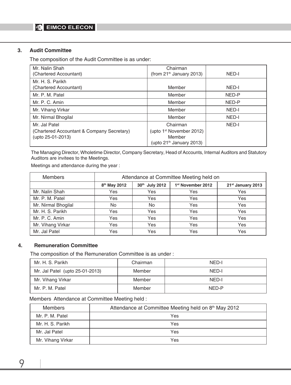## **3. Audit Committee**

The composition of the Audit Committee is as under:

| Mr. Nalin Shah<br>(Chartered Accountant)                        | Chairman<br>(from $21th$ January 2013)                             | NED-I |
|-----------------------------------------------------------------|--------------------------------------------------------------------|-------|
| Mr. H. S. Parikh<br>(Chartered Accountant)                      | Member                                                             | NED-I |
| Mr. P. M. Patel                                                 | Member                                                             | NED-P |
| Mr. P. C. Amin                                                  | Member                                                             | NED-P |
| Mr. Vihang Virkar                                               | Member                                                             | NED-I |
| Mr. Nirmal Bhogilal                                             | Member                                                             | NED-I |
| Mr. Jal Patel                                                   | Chairman                                                           | NED-I |
| (Chartered Accountant & Company Secretary)<br>(upto 25-01-2013) | (upto $1st$ November 2012)<br>Member<br>(upto $21th$ January 2013) |       |

The Managing Director, Wholetime Director, Company Secretary, Head of Accounts, Internal Auditors and Statutory Auditors are invitees to the Meetings.

Meetings and attendance during the year :

| <b>Members</b>      | Attendance at Committee Meeting held on                                     |     |                   |     |
|---------------------|-----------------------------------------------------------------------------|-----|-------------------|-----|
|                     | 1 <sup>st</sup> November 2012<br>30th July 2012<br>8 <sup>th</sup> May 2012 |     | 21st January 2013 |     |
| Mr. Nalin Shah      | <b>Yes</b>                                                                  | Yes | Yes               | Yes |
| Mr. P. M. Patel     | <b>Yes</b>                                                                  | Yes | Yes               | Yes |
| Mr. Nirmal Bhogilal | No.                                                                         | No  | Yes               | Yes |
| Mr. H. S. Parikh    | Yes                                                                         | Yes | Yes               | Yes |
| Mr. P. C. Amin      | Yes                                                                         | Yes | Yes               | Yes |
| Mr. Vihang Virkar   | Yes                                                                         | Yes | Yes               | Yes |
| Mr. Jal Patel       | Yes                                                                         | Yes | Yes               | Yes |

## **4. Remuneration Committee**

The composition of the Remuneration Committee is as under :

| Mr. H. S. Parikh                | Chairman | NED-I |
|---------------------------------|----------|-------|
| Mr. Jal Patel (upto 25-01-2013) | Member   | NED-I |
| Mr. Vihang Virkar               | Member   | NED-I |
| Mr. P. M. Patel                 | Member   | NED-P |

Members Attendance at Committee Meeting held :

| <b>Members</b>    | Attendance at Committee Meeting held on 8th May 2012 |
|-------------------|------------------------------------------------------|
| Mr. P. M. Patel   | Yes                                                  |
| Mr. H. S. Parikh  | Yes                                                  |
| Mr. Jal Patel     | Yes                                                  |
| Mr. Vihang Virkar | Yes                                                  |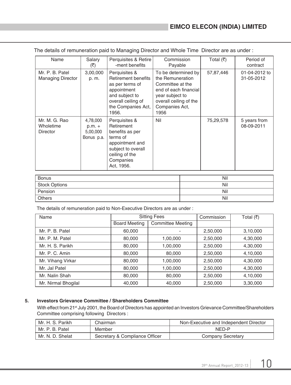| Name                                          | Salary                                         | Perquisites & Retire                                                                                                                                 | Commission                                                                                                                                                  | Total $(\overline{\tau})$ | Period of                   |
|-----------------------------------------------|------------------------------------------------|------------------------------------------------------------------------------------------------------------------------------------------------------|-------------------------------------------------------------------------------------------------------------------------------------------------------------|---------------------------|-----------------------------|
|                                               | (₹)                                            | -ment benefits                                                                                                                                       | Payable                                                                                                                                                     |                           | contract                    |
| Mr. P. B. Patel<br><b>Managing Director</b>   | 3,00,000<br>p. m.                              | Perquisites &<br><b>Retirement benefits</b><br>as per terms of<br>appointment<br>and subject to<br>overall ceiling of<br>the Companies Act,<br>1956. | To be determined by<br>the Remuneration<br>Committee at the<br>end of each financial<br>year subject to<br>overall ceiling of the<br>Companies Act,<br>1956 | 57,87,446                 | 01-04-2012 to<br>31-05-2012 |
| Mr. M. G. Rao<br>Wholetime<br><b>Director</b> | 4,78,000<br>$p.m. +$<br>5,00,000<br>Bonus p.a. | Perquisites &<br>Retirement<br>benefits as per<br>terms of<br>appointment and<br>subject to overall<br>ceiling of the<br>Companies<br>Act, 1956.     | Nil                                                                                                                                                         | 75,29,578                 | 5 years from<br>08-09-2011  |

The details of remuneration paid to Managing Director and Whole Time Director are as under :

| <b>Bonus</b>         | Nil |
|----------------------|-----|
| <b>Stock Options</b> | Nil |
| Pension              | Nil |
| Others               | Nil |

The details of remuneration paid to Non-Executive Directors are as under :

| Name                | <b>Sitting Fees</b>                              |          | Commission | Total $(\overline{\tau})$ |
|---------------------|--------------------------------------------------|----------|------------|---------------------------|
|                     | <b>Committee Meeting</b><br><b>Board Meeting</b> |          |            |                           |
| Mr. P. B. Patel     | 60,000                                           | ۰        | 2,50,000   | 3,10,000                  |
| Mr. P. M. Patel     | 80,000                                           | 1,00,000 | 2,50,000   | 4,30,000                  |
| Mr. H. S. Parikh    | 80,000                                           | 1,00,000 | 2,50,000   | 4,30,000                  |
| Mr. P. C. Amin      | 80,000                                           | 80,000   | 2,50,000   | 4,10,000                  |
| Mr. Vihang Virkar   | 80,000                                           | 1,00,000 | 2,50,000   | 4,30,000                  |
| Mr. Jal Patel       | 80,000                                           | 1,00,000 | 2,50,000   | 4,30,000                  |
| Mr. Nalin Shah      | 80,000                                           | 80,000   | 2,50,000   | 4,10,000                  |
| Mr. Nirmal Bhogilal | 40,000                                           | 40,000   | 2,50,000   | 3,30,000                  |

## **5. Investors Grievance Committee / Shareholders Committee**

With effect from 21<sup>st</sup> July 2001, the Board of Directors has appointed an Investors Grievance Committee/Shareholders Committee comprising following Directors :

| Mr. H. S. Parikh | Chairman                       | Non-Executive and Independent Director |
|------------------|--------------------------------|----------------------------------------|
| Mr. P. B. Patel  | Member                         | NED-P                                  |
| Mr. N. D. Shelat | Secretary & Compliance Officer | Company Secretary                      |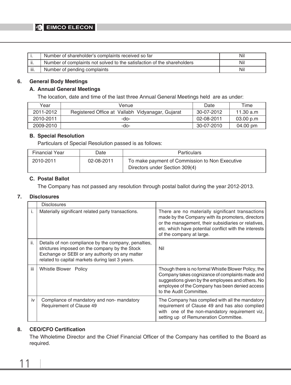|      | Number of shareholder's complaints received so far                      | Nil |
|------|-------------------------------------------------------------------------|-----|
| ш.   | Number of complaints not solved to the satisfaction of the shareholders | Nil |
| iii. | Number of pending complaints                                            | Nil |

## **6. General Body Meetings**

## **A. Annual General Meetings**

The location, date and time of the last three Annual General Meetings held are as under:

| Year      | Venue                                            | Date       | Time        |
|-----------|--------------------------------------------------|------------|-------------|
| 2011-2012 | Registered Office at Vallabh Vidyanagar, Gujarat | 30-07-2012 | 11.30 $a.m$ |
| 2010-2011 | -do-                                             | 02-08-2011 | 03.00 p.m   |
| 2009-2010 | -do-                                             | 30-07-2010 | 04.00 pm    |

## **B. Special Resolution**

Particulars of Special Resolution passed is as follows:

| <b>Financial Year</b> | Date       | <b>Particulars</b>                                                               |  |
|-----------------------|------------|----------------------------------------------------------------------------------|--|
| 2010-2011             | 02-08-2011 | To make payment of Commission to Non Executive<br>Directors under Section 309(4) |  |

## **C. Postal Ballot**

The Company has not passed any resolution through postal ballot during the year 2012-2013.

#### **7. Disclosures**

|     | <b>Disclosures</b>                                                                                                                                                                                           |                                                                                                                                                                                                                                                   |
|-----|--------------------------------------------------------------------------------------------------------------------------------------------------------------------------------------------------------------|---------------------------------------------------------------------------------------------------------------------------------------------------------------------------------------------------------------------------------------------------|
| ı.  | Materially significant related party transactions.                                                                                                                                                           | There are no materially significant transactions<br>made by the Company with its promoters, directors<br>or the management, their subsidiaries or relatives,<br>etc. which have potential conflict with the interests<br>of the company at large. |
| ii. | Details of non compliance by the company, penalties,<br>strictures imposed on the company by the Stock<br>Exchange or SEBI or any authority on any matter<br>related to capital markets during last 3 years. | Nil                                                                                                                                                                                                                                               |
| iii | Whistle Blower Policy                                                                                                                                                                                        | Though there is no formal Whistle Blower Policy, the<br>Company takes cognizance of complaints made and<br>suggestions given by the employees and others. No<br>employee of the Company has been denied access<br>to the Audit Committee.         |
| iv  | Compliance of mandatory and non-mandatory<br>Requirement of Clause 49                                                                                                                                        | The Company has complied with all the mandatory<br>requirement of Clause 49 and has also complied<br>with one of the non-mandatory requirement viz,<br>setting up of Remuneration Committee.                                                      |

## **8. CEO/CFO Certification**

The Wholetime Director and the Chief Financial Officer of the Company has certified to the Board as required.

11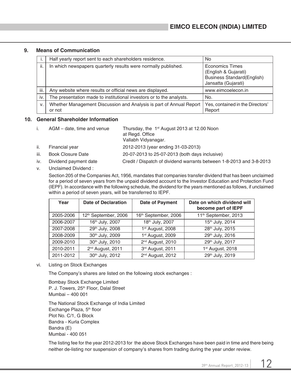#### **9. Means of Communication**

|      | Half yearly report sent to each shareholders residence.                       | No                                                                                                         |
|------|-------------------------------------------------------------------------------|------------------------------------------------------------------------------------------------------------|
| ii.  | In which newspapers quarterly results were normally published.                | <b>Economics Times</b><br>(English & Gujarati)<br><b>Business Standard(English)</b><br>Jansatta (Gujarati) |
| iii. | Any website where results or official news are displayed.                     | www.eimcoelecon.in                                                                                         |
| iv.  | The presentation made to institutional investors or to the analysts.          | No.                                                                                                        |
| v.   | Whether Management Discussion and Analysis is part of Annual Report<br>or not | Yes, contained in the Directors'<br>Report                                                                 |

## **10. General Shareholder Information**

|      | AGM - date, time and venue | Thursday, the 1 <sup>st</sup> August 2013 at 12.00 Noon              |
|------|----------------------------|----------------------------------------------------------------------|
|      |                            | at Regd. Office                                                      |
|      |                            | Vallabh Vidyanagar.                                                  |
| ii.  | Financial year             | 2012-2013 (year ending 31-03-2013)                                   |
| iii. | <b>Book Closure Date</b>   | 20-07-2013 to 25-07-2013 (both days inclusive)                       |
| IV.  | Dividend payment date      | Credit / Dispatch of dividend warrants between 1-8-2013 and 3-8-2013 |

v. Unclaimed Dividend :

Section 205 of the Companies Act, 1956, mandates that companies transfer dividend that has been unclaimed for a period of seven years from the unpaid dividend account to the Investor Education and Protection Fund (IEPF). In accordance with the following schedule, the dividend for the years mentioned as follows, if unclaimed within a period of seven years, will be transferred to IEPF.

| Year      | <b>Date of Declaration</b>       | <b>Date of Payment</b>       | Date on which dividend will<br>become part of IEPF |
|-----------|----------------------------------|------------------------------|----------------------------------------------------|
| 2005-2006 | 12 <sup>th</sup> September, 2006 | 16th September, 2006         | 11 <sup>th</sup> September, 2013                   |
| 2006-2007 | 16th July, 2007                  | 18th July, 2007              | 15th July, 2014                                    |
| 2007-2008 | 29th July, 2008                  | 1 <sup>st</sup> August, 2008 | 28 <sup>th</sup> July, 2015                        |
| 2008-2009 | 30th July, 2009                  | 1 <sup>st</sup> August, 2009 | 29th July, 2016                                    |
| 2009-2010 | 30th July, 2010                  | 2 <sup>nd</sup> August, 2010 | 29th July, 2017                                    |
| 2010-2011 | 2 <sup>nd</sup> August, 2011     | 3rd August, 2011             | 1 <sup>st</sup> August, 2018                       |
| 2011-2012 | 30th July, 2012                  | 2 <sup>nd</sup> August, 2012 | 29th July, 2019                                    |

vi. Listing on Stock Exchanges

The Company's shares are listed on the following stock exchanges :

 Bombay Stock Exchange Limited P. J. Towers, 25<sup>th</sup> Floor, Dalal Street Mumbai – 400 001

 The National Stock Exchange of India Limited Exchange Plaza, 5<sup>th</sup> floor Plot No. C/1, G Block Bandra - Kurla Complex Bandra (E) Mumbai - 400 051

 The listing fee for the year 2012-2013 for the above Stock Exchanges have been paid in time and there being neither de-listing nor suspension of company's shares from trading during the year under review.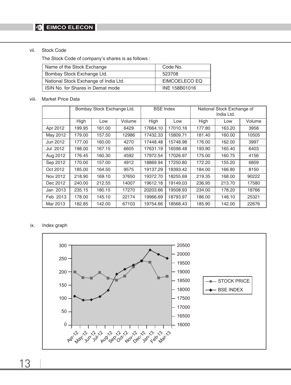#### vii. Stock Code

The Stock Code of company's shares is as follows :

| Name of the Stock Exchange            | Code No.      |
|---------------------------------------|---------------|
| Bombay Stock Exchange Ltd.            | 523708        |
| National Stock Exchange of India Ltd. | EIMCOELECO EQ |
| ISIN No. for Shares in Demat mode     | INE 158B01016 |

#### viii. Market Price Data

|          |        | Bombay Stock Exchange Ltd. |        | <b>BSE Index</b> |          |        | National Stock Exchange of<br>India Ltd. |        |
|----------|--------|----------------------------|--------|------------------|----------|--------|------------------------------------------|--------|
|          | High   | Low                        | Volume | High             | Low      | High   | Low                                      | Volume |
| Apr 2012 | 199.95 | 161.00                     | 6429   | 17664.10         | 17010.16 | 177.80 | 163.20                                   | 3958   |
| May 2012 | 179.00 | 157.50                     | 12986  | 17432.33         | 15809.71 | 181.40 | 160.00                                   | 10505  |
| Jun 2012 | 177.00 | 160.00                     | 4270   | 17448.48         | 15748.98 | 176.00 | 162.00                                   | 3997   |
| Jul 2012 | 198.00 | 167.15                     | 6605   | 17631.19         | 16598.48 | 193.90 | 165.40                                   | 6403   |
| Aug 2012 | 176.45 | 160.30                     | 4592   | 17972.54         | 17026.97 | 175.00 | 160.75                                   | 4156   |
| Sep 2012 | 170.00 | 157.00                     | 4912   | 18869.94         | 17250.80 | 172.20 | 155.20                                   | 6859   |
| Oct 2012 | 185.00 | 164.50                     | 9575   | 19137.29         | 18393.42 | 184.00 | 166.80                                   | 8150   |
| Nov 2012 | 218.90 | 169.10                     | 37650  | 19372.70         | 18255.69 | 219.35 | 168.00                                   | 90222  |
| Dec 2012 | 240.00 | 212.55                     | 14007  | 19612.18         | 19149.03 | 236.95 | 213.70                                   | 17580  |
| Jan 2013 | 235.15 | 180.15                     | 17270  | 20203.66         | 19508.93 | 234.00 | 178.20                                   | 18766  |
| Feb 2013 | 178.00 | 145.10                     | 22174  | 19966.69         | 18793.97 | 186.00 | 148.10                                   | 25321  |
| Mar 2013 | 182.85 | 142.00                     | 67103  | 19754.66         | 18568.43 | 185.90 | 142.00                                   | 22676  |

ix. Index graph

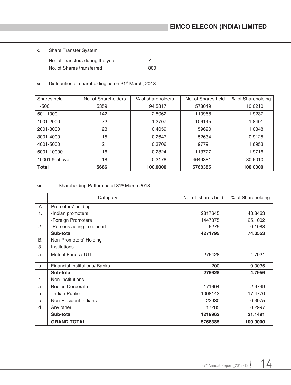x. Share Transfer System

| No. of Transfers during the year | $\therefore$ 7 |
|----------------------------------|----------------|
| No. of Shares transferred        | : 800          |

xi. Distribution of shareholding as on 31<sup>st</sup> March, 2013:

| Shares held   | No. of Shareholders | % of shareholders | No. of Shares held | % of Shareholding |
|---------------|---------------------|-------------------|--------------------|-------------------|
| $1 - 500$     | 5359                | 94.5817           | 578049             | 10.0210           |
| 501-1000      | 142                 | 2.5062            | 110968             | 1.9237            |
| 1001-2000     | 72                  | 1.2707            | 106145             | 1.8401            |
| 2001-3000     | 23                  | 0.4059            | 59690              | 1.0348            |
| 3001-4000     | 15                  | 0.2647            | 52634              | 0.9125            |
| 4001-5000     | 21                  | 0.3706            | 97791              | 1.6953            |
| 5001-10000    | 16                  | 0.2824            | 113727             | 1.9716            |
| 10001 & above | 18                  | 0.3178            | 4649381            | 80.6010           |
| <b>Total</b>  | 5666                | 100.0000          | 5768385            | 100.0000          |

xii. Shareholding Pattern as at 31st March 2013

|       | Category                            | No. of shares held | % of Shareholding |
|-------|-------------------------------------|--------------------|-------------------|
| A     | Promoters' holding                  |                    |                   |
| 1.    | -Indian promoters                   | 2817645            | 48.8463           |
|       | -Foreign Promoters                  | 1447875            | 25.1002           |
| 2.    | -Persons acting in concert          | 6275               | 0.1088            |
|       | Sub-total                           | 4271795            | 74.0553           |
| B.    | Non-Promoters' Holding              |                    |                   |
| 3.    | Institutions                        |                    |                   |
| a.    | Mutual Funds / UTI                  | 276428             | 4.7921            |
| b.    | <b>Financial Institutions/Banks</b> | 200                | 0.0035            |
|       | Sub-total                           | 276628             | 4.7956            |
| 4.    | Non-Institutions                    |                    |                   |
| a.    | <b>Bodies Corporate</b>             | 171604             | 2.9749            |
| $b$ . | <b>Indian Public</b>                | 1008143            | 17.4770           |
| C.    | Non-Resident Indians                | 22930              | 0.3975            |
| d.    | Any other                           | 17285              | 0.2997            |
|       | Sub-total                           | 1219962            | 21.1491           |
|       | <b>GRAND TOTAL</b>                  | 5768385            | 100.0000          |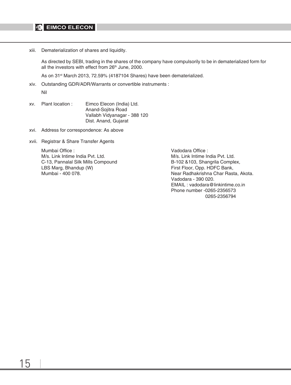## **SEIMCO ELECON**

xiii. Dematerialization of shares and liquidity.

 As directed by SEBI, trading in the shares of the company have compulsorily to be in dematerialized form for all the investors with effect from 26<sup>th</sup> June, 2000.

As on 31<sup>st</sup> March 2013, 72,59% (4187104 Shares) have been dematerialized.

xiv. Outstanding GDR/ADR/Warrants or convertible instruments :

Nil

- xv. Plant location : Eimco Elecon (India) Ltd. Anand-Sojitra Road Vallabh Vidyanagar - 388 120 Dist. Anand, Gujarat
- xvi. Address for correspondence: As above
- xvii. Registrar & Share Transfer Agents

Mumbai Office : Vadodara Office : M/s. Link Intime India Pvt. Ltd.<br>
C-13, Pannalal Silk Mills Compound<br>
B-102 & 103, Shangrila Complex, C-13, Pannalal Silk Mills Compound<br>LBS Marg, Bhandup (W)

First Floor, Opp. HDFC Bank, Mumbai - 400 078. Near Radhakrishna Char Rasta, Akota. Vadodara - 390 020. EMAIL : vadodara@linkintime.co.in Phone number -0265-2356573 0265-2356794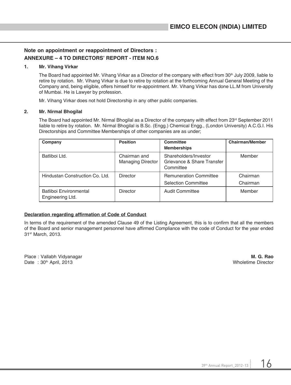## **Note on appointment or reappointment of Directors : ANNEXURE – 4 TO DIRECTORS' REPORT - ITEM NO.6**

#### **1. Mr. Vihang Virkar**

The Board had appointed Mr. Vihang Virkar as a Director of the company with effect from 30<sup>th</sup> July 2009, liable to retire by rotation. Mr. Vihang Virkar is due to retire by rotation at the forthcoming Annual General Meeting of the Company and, being eligible, offers himself for re-appointment. Mr. Vihang Virkar has done LL.M from University of Mumbai. He is Lawyer by profession.

Mr. Vihang Virkar does not hold Directorship in any other public companies.

#### **2. Mr. Nirmal Bhogilal**

The Board had appointed Mr. Nirmal Bhogilal as a Director of the company with effect from 23rd September 2011 liable to retire by rotation. Mr. Nirmal Bhogilal is B.Sc. (Engg.) Chemical Engg., (London University) A.C.G.I. His Directorships and Committee Memberships of other companies are as under;

| Company                                    | <b>Position</b>                          | Committee<br><b>Memberships</b>                                  | <b>Chairman/Member</b> |
|--------------------------------------------|------------------------------------------|------------------------------------------------------------------|------------------------|
| Batliboi Ltd.                              | Chairman and<br><b>Managing Director</b> | Shareholders/Investor<br>Grievance & Share Transfer<br>Committee | Member                 |
| Hindustan Construction Co. Ltd.            | <b>Director</b>                          | <b>Remuneration Committee</b><br><b>Selection Committee</b>      | Chairman<br>Chairman   |
| Batliboi Environmental<br>Engineering Ltd. | Director                                 | <b>Audit Committee</b>                                           | Member                 |

#### **Declaration regarding affirmation of Code of Conduct**

In terms of the requirement of the amended Clause 49 of the Listing Agreement, this is to confirm that all the members of the Board and senior management personnel have affirmed Compliance with the code of Conduct for the year ended 31st March, 2013.

Place : Vallabh Vidyanagar **M. G. Rao**  Date :  $30<sup>th</sup>$  April, 2013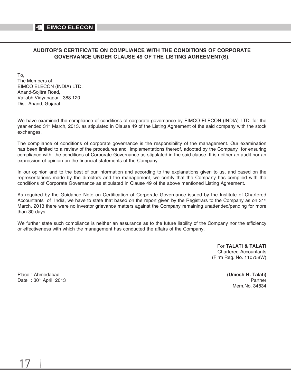#### **AUDITOR'S CERTIFICATE ON COMPLIANCE WITH THE CONDITIONS OF CORPORATE GOVERVANCE UNDER CLAUSE 49 OF THE LISTING AGREEMENT(S).**

To, The Members of EIMCO ELECON (INDIA) LTD. Anand-Sojitra Road, Vallabh Vidyanagar - 388 120. Dist. Anand, Gujarat

We have examined the compliance of conditions of corporate governance by EIMCO ELECON (INDIA) LTD. for the year ended 31<sup>st</sup> March, 2013, as stipulated in Clause 49 of the Listing Agreement of the said company with the stock exchanges.

The compliance of conditions of corporate governance is the responsibility of the management. Our examination has been limited to a review of the procedures and implementations thereof, adopted by the Company for ensuring compliance with the conditions of Corporate Governance as stipulated in the said clause. It is neither an audit nor an expression of opinion on the financial statements of the Company.

In our opinion and to the best of our information and according to the explanations given to us, and based on the representations made by the directors and the management, we certify that the Company has complied with the conditions of Corporate Governance as stipulated in Clause 49 of the above mentioned Listing Agreement.

As required by the Guidance Note on Certification of Corporate Governance issued by the Institute of Chartered Accountants of India, we have to state that based on the report given by the Registrars to the Company as on 31<sup>st</sup> March, 2013 there were no investor grievance matters against the Company remaining unattended/pending for more than 30 days.

We further state such compliance is neither an assurance as to the future liability of the Company nor the efficiency or effectiveness with which the management has conducted the affairs of the Company.

> For **TALATI & TALATI** Chartered Accountants (Firm Reg. No. 110758W)

Place : Ahmedabad (**Umesh H. Talati)** Date : 30<sup>th</sup> April, 2013 **Partner Partner Partner Partner Partner Partner** 

Mem.No. 34834

17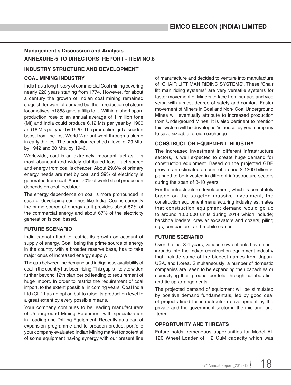## **Management's Discussion and Analysis ANNEXURE-5 TO DIRECTORS' REPORT - ITEM NO.8**

#### **INDUSTRY STRUCTURE AND DEVELOPMENT**

#### **COAL MINING INDUSTRY**

India has a long history of commercial Coal mining covering nearly 220 years starting from 1774. However, for about a century the growth of Indian coal mining remained sluggish for want of demand but the introduction of steam locomotives in1853 gave a fillip to it. Within a short span, production rose to an annual average of 1 million tone (Mt) and India could produce 6.12 Mts per year by 1900 and18 Mts per year by 1920. The production got a sudden boost from the first World War but went through a slump in early thirties. The production reached a level of 29 Mts. by 1942 and 30 Mts. by 1946.

Worldwide, coal is an extremely important fuel as it is most abundant and widely distributed fossil fuel source and energy from coal is cheaper. About 29.6% of primary energy needs are met by coal and 39% of electricity is generated from coal. About 70% of world steel production depends on coal feedstock.

The energy dependence on coal is more pronounced in case of developing countries like India. Coal is currently the prime source of energy as it provides about 52% of the commercial energy and about 67% of the electricity generation is coal based.

#### **FUTURE SCENARIO**

India cannot afford to restrict its growth on account of supply of energy. Coal, being the prime source of energy in the country with a broader reserve base, has to take major onus of increased energy supply.

The gap between the demand and indigenous availability of coal in the country has been rising. This gap is likely to widen further beyond 12th plan period leading to requirement of huge import. In order to restrict the requirement of coal import, to the extent possible, in coming years, Coal India Ltd (CIL) has no option but to raise its production level to a great extent by every possible means.

Your company continues to be leading manufacturers of Underground Mining Equipment with specialization in Loading and Drilling Equipment. Recently as a part of expansion programme and to broaden product portfolio your company evaluated Indian Mining market for potential of some equipment having synergy with our present line

of manufacture and decided to venture into manufacture of "CHAIR LIFT MAN RIDING SYSTEMS'. These 'Chair lift man riding systems" are very versatile systems for faster movement of Miners to face from surface and vice versa with utmost degree of safety and comfort. Faster movement of Miners in Coal and Non- Coal Underground Mines will eventually attribute to increased production from Underground Mines. It is also pertinent to mention this system will be developed 'in house' by your company to save sizeable foreign exchange.

## **CONSTRUCTION EQUIPMENT INDUSTRY**

The increased investment in different infrastructure sectors, is well expected to create huge demand for construction equipment. Based on the projected GDP growth, an estimated amount of around \$ 1300 billion is planned to be invested in different infrastructure sectors during the span of 8-10 years.

For the infrastructure development, which is completely based on the targeted massive investment, the construction equipment manufacturing industry estimates that construction equipment demand would go up to around 1,00,000 units during 2014 which include; backhoe loaders, crawler excavators and dozers, piling rigs, compactors, and mobile cranes.

#### **FUTURE SCENARIO**

Over the last 3-4 years, various new entrants have made inroads into the Indian construction equipment industry that include some of the biggest names from Japan, USA, and Korea. Simultaneously, a number of domestic companies are seen to be expanding their capacities or diversifying their product portfolio through collaboration and tie-up arrangements.

The projected demand of equipment will be stimulated by positive demand fundamentals, led by good deal of projects lined for infrastructure development by the private and the government sector in the mid and long -term.

## **OPPORTUNITY AND THREATS**

Future holds tremendous opportunities for Model AL 120 Wheel Loader of 1.2 CuM capacity which was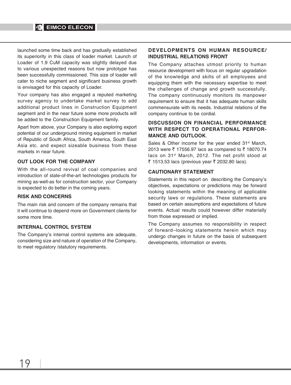launched some time back and has gradually established its superiority in this class of loader market. Launch of Loader of 1.9 CuM capacity was slightly delayed due to various unexpected reasons but now prototype has been successfully commissioned. This size of loader will cater to niche segment and significant business growth is envisaged for this capacity of Loader.

Your company has also engaged a reputed marketing survey agency to undertake market survey to add additional product lines in Construction Equipment segment and in the near future some more products will be added to the Construction Equipment family.

Apart from above, your Company is also exploring export potential of our underground mining equipment in market of Republic of South Africa, South America, South East Asia etc. and expect sizeable business from these markets in near future.

#### **OUT LOOK FOR THE COMPANY**

With the all-round revival of coal companies and introduction of state-of-the-art technologies products for mining as-well-as for construction sector, your Company is expected to do better in the coming years.

#### **RISK AND CONCERNS**

The main risk and concern of the company remains that it will continue to depend more on Government clients for some more time.

#### **INTERNAL CONTROL SYSTEM**

The Company's internal control systems are adequate, considering size and nature of operation of the Company, to meet regulatory /statutory requirements.

#### **DEVELOPMENTS ON HUMAN RESOURCE/ INDUSTRIAL RELATIONS FRONT**

The Company attaches utmost priority to human resource development with focus on regular upgradation of the knowledge and skills of all employees and equipping them with the necessary expertise to meet the challenges of change and growth successfully. The company continuously monitors its manpower requirement to ensure that it has adequate human skills commensurate with its needs. Industrial relations of the company continue to be cordial.

## **DISCUSSION ON FINANCIAL PERFORMANCE WITH RESPECT TO OPERATIONAL PERFOR-MANCE AND OUTLOOK**.

Sales & Other income for the year ended 31<sup>st</sup> March, 2013 were ₹ 17556.97 lacs as compared to ₹ 18070.74 lacs on 31<sup>st</sup> March, 2012. The net profit stood at ₹ 1513.53 lacs (previous year ₹ 2032.80 lacs).

#### **CAUTIONARY STATEMENT**

Statements in this report on describing the Company's objectives, expectations or predictions may be forward looking statements within the meaning of applicable security laws or regulations. These statements are based on certain assumptions and expectations of future events. Actual results could however differ materially from those expressed or implied.

The Company assumes no responsibility in respect of forward–looking statements herein which may undergo changes in future on the basis of subsequent developments, information or events.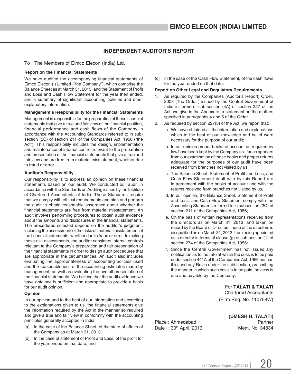#### **INDEPENDENT AUDITOR'S REPORT**

To : The Members of Eimco Elecon (India) Ltd.

#### **Report on the Financial Statements**

We have audited the accompanying financial statements of Eimco Elecon (I) Limited ("the Company"), which comprise the Balance Sheet as at March 31, 2013, and the Statement of Profit and Loss and Cash Flow Statement for the year then ended, and a summary of significant accounting policies and other explanatory information.

#### **Management's Responsibility for the Financial Statements**

Management is responsible for the preparation of these financial statements that give a true and fair view of the financial position, financial performance and cash flows of the Company in accordance with the Accounting Standards referred to in subsection (3C) of section 211 of the Companies Act, 1956 ("the Act"). This responsibility includes the design, implementation and maintenance of internal control relevant to the preparation and presentation of the financial statements that give a true and fair view and are free from material misstatement, whether due to fraud or error.

#### **Auditor's Responsibility**

Our responsibility is to express an opinion on these financial statements based on our audit. We conducted our audit in accordance with the Standards on Auditing issued by the Institute of Chartered Accountants of India. Those Standards require that we comply with ethical requirements and plan and perform the audit to obtain reasonable assurance about whether the financial statements are free from material misstatement. An audit involves performing procedures to obtain audit evidence about the amounts and disclosures in the financial statements. The procedures selected depend on the auditor's judgment, including the assessment of the risks of material misstatement of the financial statements, whether due to fraud or error. In making those risk assessments, the auditor considers internal controls relevant to the Company's preparation and fair presentation of the financial statements in order to design audit procedures that are appropriate in the circumstances. An audit also includes evaluating the appropriateness of accounting policies used and the reasonableness of the accounting estimates made by management, as well as evaluating the overall presentation of the financial statements. We believe that the audit evidence we have obtained is sufficient and appropriate to provide a basis for our audit opinion.

#### **Opinion**

In our opinion and to the best of our information and according to the explanations given to us, the financial statements give the information required by the Act in the manner so required and give a true and fair view in conformity with the accounting principles generally accepted in India:

- (a) In the case of the Balance Sheet, of the state of affairs of the Company as at March 31, 2013;
- (b) In the case of statement of Profit and Loss, of the profit for the year ended on that date; and

(c) In the case of the Cash Flow Statement, of the cash flows for the year ended on that date.

#### **Report on Other Legal and Regulatory Requirements**

- 1. As required by the Companies (Auditor's Report) Order, 2003 ("the Order") issued by the Central Government of India in terms of sub-section (4A) of section 227 of the Act, we give in the Annexure, a statement on the matters specified in paragraphs 4 and 5 of the Order.
- 2. As required by section 227(3) of the Act, we report that:
	- a. We have obtained all the information and explanations which to the best of our knowledge and belief were necessary for the purpose of our audit;
	- b. In our opinion proper books of account as required by law have been kept by the Company so far as appears from our examination of those books and proper returns adequate for the purposes of our audit have been received from branches not visited by us;
	- c. The Balance Sheet, Statement of Profit and Loss, and Cash Flow Statement dealt with by this Report are in agreement with the books of account and with the returns received from branches not visited by us,
	- d. In our opinion, the Balance Sheet, Statement of Profit and Loss, and Cash Flow Statement comply with the Accounting Standards referred to in subsection (3C) of section 211 of the Companies Act, 1956;
	- e. On the basis of written representations received from the directors as on March 31, 2013, and taken on record by the Board of Directors, none of the directors is disqualified as on March 31, 2013, from being appointed as a director in terms of clause (g) of sub-section (1) of section 274 of the Companies Act, 1956:
	- f. Since the Central Government has not issued any notification as to the rate at which the cess is to be paid under section 441A of the Companies Act, 1956 nor has it issued any Rules under the said section, prescribing the manner in which such cess is to be paid, no cess is due and payable by the Company.

For **TALATI & TALATI** Chartered Accountants (Firm Reg. No. 110758W)

Place : Ahmedabad Partner Date: 30<sup>th</sup> April, 2013 Mem. No. 34834

**(UMESH H. TALATI)**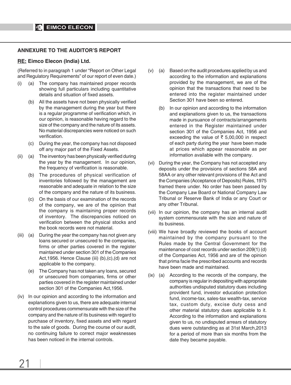## **ANNEXURE TO THE AUDITOR'S REPORT**

#### **RE: Eimco Elecon (India) Ltd.**

(Referred to in paragraph 1 under "Report on Other Legal and Regulatory Requirements" of our report of even date.)

- (i) (a) The company has maintained proper records showing full particulars including quantitative details and situation of fixed assets.
	- (b) All the assets have not been physically verified by the management during the year but there is a regular programme of verification which, in our opinion, is reasonable having regard to the size of the company and the nature of its assets. No material discrepancies were noticed on such verification.
	- (c) During the year, the company has not disposed off any major part of the Fixed Assets.
- (ii) (a) The inventory has been physically verified during the year by the management. In our opinion, the frequency of verification is reasonable.
	- (b) The procedures of physical verification of inventories followed by the management are reasonable and adequate in relation to the size of the company and the nature of its business.
	- (c) On the basis of our examination of the records of the company, we are of the opinion that the company is maintaining proper records of inventory. The discrepancies noticed on verification between the physical stocks and the book records were not material.
- (iii) (a) During the year the company has not given any loans secured or unsecured to the companies, firms or other parties covered in the register maintained under section 301 of the Companies Act,1956. Hence Clause (iii) (b),(c),(d) are not applicable to the company.
	- (e) The Company has not taken any loans, secured or unsecured from companies, firms or other parties covered in the register maintained under section 301 of the Companies Act,1956.
- (iv) In our opinion and according to the information and explanations given to us, there are adequate internal control procedures commensurate with the size of the company and the nature of its business with regard to purchase of inventory, fixed assets and with regard to the sale of goods. During the course of our audit, no continuing failure to correct major weaknesses has been noticed in the internal controls.
- (v) (a) Based on the audit procedures applied by us and according to the information and explanations provided by the management, we are of the opinion that the transactions that need to be entered into the register maintained under Section 301 have been so entered.
	- (b) In our opinion and according to the information and explanations given to us, the transactions made in pursuance of contracts/arrangements entered in the Register maintained under section 301 of the Companies Act, 1956 and exceeding the value of  $\overline{5}$  5,00,000 in respect of each party during the year have been made at prices which appear reasonable as per information available with the company.
- (vi) During the year, the Company has not accepted any deposits under the provisions of sections 58A and 58AA or any other relevant provisions of the Act and the Companies (Acceptance of Deposits) Rules, 1975 framed there under. No order has been passed by the Company Law Board or National Company Law Tribunal or Reserve Bank of India or any Court or any other Tribunal.
- (vii) In our opinion, the company has an internal audit system commensurate with the size and nature of its business.
- (viii) We have broadly reviewed the books of account maintained by the company pursuant to the Rules made by the Central Government for the maintenance of cost records under section 209(1) (d) of the Companies Act, 1956 and are of the opinion that prima facie the prescribed accounts and records have been made and maintained.
- (ix) (a) According to the records of the company, the company is regular in depositing with appropriate authorities undisputed statutory dues including provident fund, investor education protection fund, income-tax, sales-tax wealth-tax, service tax, custom duty, excise duty cess and other material statutory dues applicable to it. According to the information and explanations given to us, no undisputed arrears of statutory dues were outstanding as at 31st March,2013 for a period of more than six months from the date they became payable.

21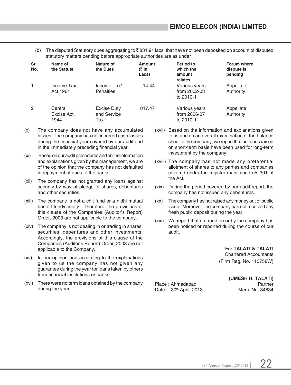(b) The disputed Statutory dues aggregating to  $\bar{\tau}$  831.91 lacs, that have not been deposited on account of disputed statutory matters pending before appropriate authorities are as under

| Sr.<br>No. | Name of<br>the Statute         | Nature of<br>the Dues                    | Amount<br>(₹ in<br>Lacs) | Period to<br>which the<br>amount<br>relates | Forum where<br>dispute is<br>pending |
|------------|--------------------------------|------------------------------------------|--------------------------|---------------------------------------------|--------------------------------------|
|            | Income Tax<br>Act 1961         | Income Tax/<br><b>Penalties</b>          | 14.44                    | Various years<br>from 2002-03<br>to 2010-11 | Appellate<br>Authority               |
| 2          | Central<br>Excise Act,<br>1944 | <b>Excise Duty</b><br>and Service<br>Tax | 817.47                   | Various years<br>from 2006-07<br>to 2010-11 | Appellate<br>Authority               |

- (x) The company does not have any accumulated losses. The company has not incurred cash losses during the financial year covered by our audit and in the immediately preceding financial year.
- (xi) Based on our audit procedures and on the information and explanations given by the management, we are of the opinion that the company has not defaulted in repayment of dues to the banks.
- (xii) The company has not granted any loans against security by way of pledge of shares, debentures and other securities.
- (xiii) The company is not a chit fund or a nidhi mutual benefit fund/society. Therefore, the provisions of this clause of the Companies (Auditor's Report) Order, 2003 are not applicable to the company.
- (xiv) The company is not dealing in or trading in shares, securities, debentures and other investments. Accordingly, the provisions of this clause of the Companies (Auditor's Report) Order, 2003 are not applicable to the Company.
- (xv) In our opinion and according to the explanations given to us the company has not given any guarantee during the year for loans taken by others from financial institutions or banks.
- (xvi) There were no term loans obtained by the company during the year.
- (xvii) Based on the information and explanations given to us and on an overall examination of the balance sheet of the company, we report that no funds raised on short-term basis have been used for long-term investment by the company.
- (xviii) The company has not made any preferential allotment of shares to any parties and companies covered under the register maintained u/s.301 of the Act.
- (xix) During the period covered by our audit report, the company has not issued any debentures.
- (xx) The company has not raised any money out of public issue. Moreover, the company has not received any fresh public deposit during the year.
- (xxi) We report that no fraud on or by the company has been noticed or reported during the course of our audit.

For **TALATI & TALATI** Chartered Accountants (Firm Reg. No. 110758W)

Place: Ahmedabad Date: 30<sup>th</sup> April, 2013 Mem. No. 34834

**(UMESH H. TALATI)**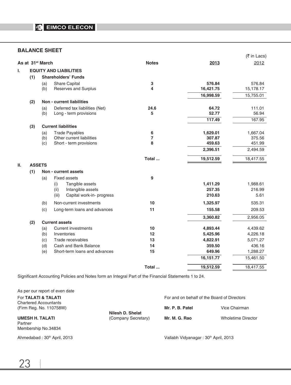## **BALANCE SHEET**

|    |                               |            |                                              |              |                     | $(5 \text{ in } \text{Lacs})$ |  |
|----|-------------------------------|------------|----------------------------------------------|--------------|---------------------|-------------------------------|--|
|    | As at 31 <sup>st</sup> March  |            |                                              | <b>Notes</b> | 2013                | 2012                          |  |
| Ī. | <b>EQUITY AND LIABILITIES</b> |            |                                              |              |                     |                               |  |
|    | (1)                           |            | <b>Shareholders' Funds</b>                   |              |                     |                               |  |
|    |                               | (a)<br>(b) | <b>Share Capital</b><br>Reserves and Surplus | 3<br>4       | 576.84<br>16,421.75 | 576.84<br>15,178.17           |  |
|    |                               |            |                                              |              |                     |                               |  |
|    |                               |            |                                              |              | 16,998.59           | 15,755.01                     |  |
|    | (2)                           |            | <b>Non - current liabilities</b>             |              |                     |                               |  |
|    |                               | (a)        | Deferred tax liabilities (Net)               | 24.6         | 64.72               | 111.01                        |  |
|    |                               | (b)        | Long - term provisions                       | 5            | 52.77               | 56.94                         |  |
|    |                               |            |                                              |              | 117.49              | 167.95                        |  |
|    | (3)                           |            | <b>Current liabilities</b>                   |              |                     |                               |  |
|    |                               | (a)        | <b>Trade Payables</b>                        | 6            | 1,629.01            | 1,667.04                      |  |
|    |                               | (b)        | Other current liabilities                    | 7            | 307.87              | 375.56                        |  |
|    |                               | (c)        | Short - term provisions                      | 8            | 459.63              | 451.99                        |  |
|    |                               |            |                                              |              | 2,396.51            | 2,494.59                      |  |
|    |                               |            |                                              | Total        | 19,512.59           | 18,417.55                     |  |
| П. | <b>ASSETS</b>                 |            |                                              |              |                     |                               |  |
|    | (1)                           |            | Non - current assets                         |              |                     |                               |  |
|    |                               | (a)        | <b>Fixed assets</b>                          | 9            |                     |                               |  |
|    |                               |            | Tangible assets<br>(i)                       |              | 1,411.29            | 1,988.61                      |  |
|    |                               |            | (ii)<br>Intangible assets                    |              | 257.35              | 216.99                        |  |
|    |                               |            | Capital work-in- progress<br>(iii)           |              | 210.63              | 5.61                          |  |
|    |                               | (b)        | Non-current investments                      | 10           | 1,325.97            | 535.31                        |  |
|    |                               | (c)        | Long-term loans and advances                 | 11           | 155.58              | 209.53                        |  |
|    |                               |            |                                              |              | 3,360.82            | 2,956.05                      |  |
|    | (2)                           |            | <b>Current assets</b>                        |              |                     |                               |  |
|    |                               | (a)        | <b>Current investments</b>                   | 10           | 4,893.44            | 4,439.62                      |  |
|    |                               | (b)        | Inventories                                  | 12           | 5,425.96            | 4,226.18                      |  |
|    |                               | (c)        | Trade receivables                            | 13           | 4,822.91            | 5,071.27                      |  |
|    |                               | (d)        | Cash and Bank Balance                        | 14           | 359.50              | 436.16                        |  |
|    |                               | (e)        | Short-term loans and advances                | 15           | 649.96              | 1,288.27                      |  |
|    |                               |            |                                              |              | 16,151.77           | 15,461.50                     |  |
|    |                               |            |                                              | Total        | 19,512.59           | 18,417.55                     |  |

Significant Accounting Policies and Notes form an Integral Part of the Financial Statements 1 to 24.

As per our report of even date

| For <b>TALATI &amp; TALATI</b><br><b>Chartered Accountants</b> |                     | For and on behalf of the Board of Directors |                    |  |
|----------------------------------------------------------------|---------------------|---------------------------------------------|--------------------|--|
| (Firm Reg. No. 110758W)                                        | Nilesh D. Shelat    | Mr. P. B. Patel                             | Vice Chairman      |  |
| <b>UMESH H. TALATI</b><br>Partner<br>Membership No.34834       | (Company Secretary) | Mr. M. G. Rao                               | Wholetime Director |  |

23

Ahmedabad : 30<sup>th</sup> April, 2013 **Vallabh Vidyanagar : 30<sup>th</sup> April**, 2013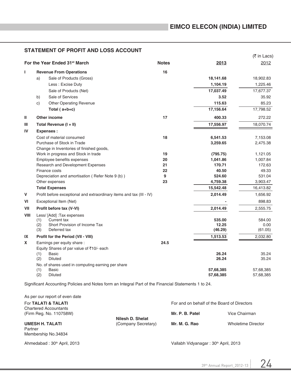#### **STATEMENT OF PROFIT AND LOSS ACCOUNT**

|      |     |                                                                        |              |                    | (₹ in Lacs)     |
|------|-----|------------------------------------------------------------------------|--------------|--------------------|-----------------|
|      |     | For the Year Ended 31 <sup>st</sup> March                              | <b>Notes</b> | 2013               | 2012            |
| ı    |     | <b>Revenue From Operations</b>                                         | 16           |                    |                 |
|      | a)  | Sale of Products (Gross)                                               |              | 18,141.68          | 18,902.83       |
|      |     | Less: Excise Duty                                                      |              | 1,104.19           | 1,225.46        |
|      |     | Sale of Products (Net)                                                 |              | 17,037.49          | 17,677.37       |
|      | b)  | Sale of Services                                                       |              | 3.52               | 35.92           |
|      | c)  | <b>Other Operating Revenue</b>                                         |              | 115.63             | 85.23           |
|      |     | Total $(a+b+c)$                                                        |              | 17,156.64          | 17,798.52       |
| Ш    |     | Other income                                                           | 17           | 400.33             | 272.22          |
| Ш    |     | Total Revenue (I + II)                                                 |              | 17,556.97          | 18,070.74       |
| IV   |     | <b>Expenses:</b>                                                       |              |                    |                 |
|      |     | Cost of material consumed                                              | 18           | 6,541.53           | 7,153.08        |
|      |     | Purchase of Stock in Trade                                             |              | 3,259.65           | 2,475.38        |
|      |     | Change in Inventories of finished goods,                               |              |                    |                 |
|      |     | Work in progress and Stock in trade                                    | 19           | (795.75)           | 1,121.05        |
|      |     | Employee benefits expenses                                             | 20<br>21     | 1,041.86<br>170.71 | 1,007.84        |
|      |     | Research and Development Expenses<br>Finance costs                     | 22           | 40.50              | 172.63<br>49.33 |
|      |     | Depreciation and amortisation (Refer Note 9 (b))                       | 9            | 524.60             | 531.04          |
|      |     | Other expenses                                                         | 23           | 4,759.38           | 3,903.47        |
|      |     | <b>Total Expenses</b>                                                  |              | 15,542.48          | 16,413.82       |
| V    |     | Profit before exceptional and extraordinary items and tax (III - IV)   |              | 2,014.49           | 1,656.92        |
| VI   |     | Exceptional Item (Net)                                                 |              |                    | 898.83          |
| VII  |     | Profit before tax (V-VI)                                               |              | 2,014.49           | 2,555.75        |
| VIII |     | Less/ [Add] :Tax expenses                                              |              |                    |                 |
|      | (1) | Current tax                                                            |              | 535.00             | 584.00          |
|      | (2) | Short Provision of Income Tax                                          |              | 12.25              | 0.00            |
|      | (3) | Deferred tax                                                           |              | (46.29)            | (61.05)         |
| IX   |     | Profit for the Period (VII - VIII)                                     |              | 1,513.53           | 2,032.80        |
| X    |     | Earnings per equity share:<br>Equity Shares of par value of ₹10/- each | 24.5         |                    |                 |
|      | (1) | <b>Basic</b>                                                           |              | 26.24              | 35.24           |
|      | (2) | <b>Diluted</b>                                                         |              | 26.24              | 35.24           |
|      |     | No. of shares used in computing earning per share                      |              |                    |                 |
|      | (1) | <b>Basic</b>                                                           |              | 57,68,385          | 57,68,385       |
|      | (2) | <b>Diluted</b>                                                         |              | 57,68,385          | 57,68,385       |

Significant Accounting Policies and Notes form an Integral Part of the Financial Statements 1 to 24.

As per our report of even date For **TALATI & TALATI Example 20** For and on behalf of the Board of Directors Chartered Accountants (Firm Reg. No. 110758W) **Mr. P. B. Patel** Vice Chairman **Nilesh D. Shelat**<br> **UMESH H. TALATI** (Company Secret (Company Secretary) **Mr. M. G. Rao** Wholetime Director Partner Membership No.34834

Ahmedabad : 30<sup>th</sup> April, 2013 **Vallabh Vidyanagar : 30<sup>th</sup> April**, 2013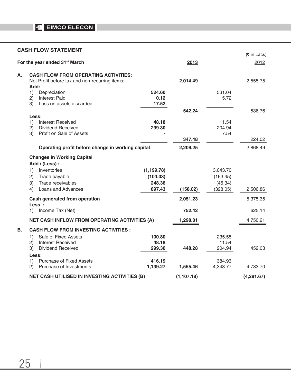## **CASH FLOW STATEMENT**

|    |                                                        |             |             |          | $(5 \text{ in } \text{Lacs})$ |
|----|--------------------------------------------------------|-------------|-------------|----------|-------------------------------|
|    | For the year ended 31 <sup>st</sup> March              |             | 2013        |          | 2012                          |
| А. | <b>CASH FLOW FROM OPERATING ACTIVITIES:</b>            |             |             |          |                               |
|    | Net Profit before tax and non-recurring items:<br>Add: |             | 2,014.49    |          | 2,555.75                      |
|    | 1)<br>Depreciation                                     | 524.60      |             | 531.04   |                               |
|    | <b>Interest Paid</b><br>2)                             | 0.12        |             | 5.72     |                               |
|    | 3)<br>Loss on assets discarded                         | 17.52       |             |          |                               |
|    |                                                        |             | 542.24      |          | 536.76                        |
|    | Less:                                                  |             |             |          |                               |
|    | <b>Interest Received</b><br>1)                         | 48.18       |             | 11.54    |                               |
|    | 2)<br><b>Dividend Received</b>                         | 299.30      |             | 204.94   |                               |
|    | 3)<br>Profit on Sale of Assets                         |             |             | 7.54     |                               |
|    |                                                        |             | 347.48      |          | 224.02                        |
|    | Operating profit before change in working capital      |             | 2,209.25    |          | 2,868.49                      |
|    | <b>Changes in Working Capital</b>                      |             |             |          |                               |
|    | Add / (Less) :                                         |             |             |          |                               |
|    | Inventories<br>1)                                      | (1, 199.78) |             | 3,043.70 |                               |
|    | 2)<br>Trade payable                                    | (104.03)    |             | (163.45) |                               |
|    | Trade receivables<br>3)                                | 248.36      |             | (45.34)  |                               |
|    | <b>Loans and Advances</b><br>4)                        | 897.43      | (158.02)    | (328.05) | 2,506.86                      |
|    | Cash generated from operation<br>Less :                |             | 2,051.23    |          | 5,375.35                      |
|    | Income Tax (Net)<br>1)                                 |             | 752.42      |          | 625.14                        |
|    | <b>NET CASH INFLOW FROM OPERATING ACTIVITIES (A)</b>   |             | 1,298.81    |          | 4,750.21                      |
| В. | <b>CASH FLOW FROM INVESTING ACTIVITIES:</b>            |             |             |          |                               |
|    | Sale of Fixed Assets<br>1)                             | 100.80      |             | 235.55   |                               |
|    | 2)<br><b>Interest Received</b>                         | 48.18       |             | 11.54    |                               |
|    | 3)<br><b>Dividend Received</b>                         | 299.30      | 448.28      | 204.94   | 452.03                        |
|    | Less:                                                  |             |             |          |                               |
|    | <b>Purchase of Fixed Assets</b><br>1)                  | 416.19      |             | 384.93   |                               |
|    | 2)<br>Purchase of Investments                          | 1,139.27    | 1,555.46    | 4,348.77 | 4,733.70                      |
|    | <b>NET CASH UTILISED IN INVESTING ACTIVITIES (B)</b>   |             | (1, 107.18) |          | (4,281.67)                    |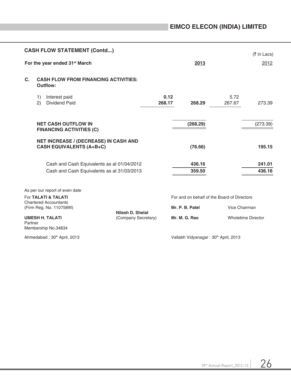|         | <b>CASH FLOW STATEMENT (Contd)</b>                                                       |                                         |                |                                             |                | $(5 \in \text{In}$ Lacs)  |
|---------|------------------------------------------------------------------------------------------|-----------------------------------------|----------------|---------------------------------------------|----------------|---------------------------|
|         | For the year ended 31 <sup>st</sup> March                                                |                                         |                | 2013                                        |                | 2012                      |
| C.      | <b>CASH FLOW FROM FINANCING ACTIVITIES:</b><br><b>Outflow:</b>                           |                                         |                |                                             |                |                           |
|         | Interest paid<br>1)<br>2)<br><b>Dividend Paid</b>                                        |                                         | 0.12<br>268.17 | 268.29                                      | 5.72<br>267.67 | 273.39                    |
|         | <b>NET CASH OUTFLOW IN</b><br><b>FINANCING ACTIVITIES (C)</b>                            |                                         |                | (268.29)                                    |                | (273.39)                  |
|         | <b>NET INCREASE / (DECREASE) IN CASH AND</b><br><b>CASH EQUIVALENTS (A+B+C)</b>          |                                         |                | (76.66)                                     |                | 195.15                    |
|         | Cash and Cash Equivalents as at 01/04/2012<br>Cash and Cash Equivalents as at 31/03/2013 |                                         |                | 436.16<br>359.50                            |                | 241.01<br>436.16          |
|         | As per our report of even date                                                           |                                         |                |                                             |                |                           |
|         | For TALATI & TALATI<br><b>Chartered Accountants</b>                                      |                                         |                | For and on behalf of the Board of Directors |                |                           |
|         | (Firm Reg. No. 110758W)                                                                  |                                         |                | Mr. P. B. Patel                             | Vice Chairman  |                           |
| Partner | <b>UMESH H. TALATI</b><br>Membership No.34834                                            | Nilesh D. Shelat<br>(Company Secretary) |                | Mr. M. G. Rao                               |                | <b>Wholetime Director</b> |
|         | Ahmedabad: 30th April, 2013                                                              |                                         |                | Vallabh Vidyanagar: 30th April, 2013        |                |                           |

 $3^{9th}$  Annual Report\_2012-13  $\overline{\hspace{1.5cm}26}$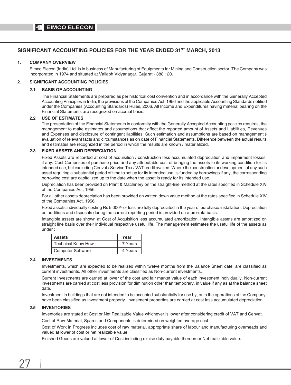## **SIGNIFICANT ACCOUNTING POLICIES FOR THE YEAR ENDED 31ST MARCH, 2013**

#### **1. COMPANY OVERVIEW**

Eimco Elecon (India) Ltd. is in business of Manufacturing of Equipments for Mining and Construction sector. The Company was incorporated in 1974 and situated at Vallabh Vidyanagar, Gujarat - 388 120.

#### **2. SIGNIFICANT ACCOUNTING POLICIES**

#### **2.1 BASIS OF ACCOUNTING**

The Financial Statements are prepared as per historical cost convention and in accordance with the Generally Accepted Accounting Principles in India, the provisions of the Companies Act, 1956 and the applicable Accounting Standards notified under the Companies (Accounting Standards) Rules, 2006. All Income and Expenditures having material bearing on the Financial Statements are recognized on accrual basis.

#### **2.2 USE OF ESTIMATES**

 The presentation of the Financial Statements in conformity with the Generally Accepted Accounting policies requires, the management to make estimates and assumptions that affect the reported amount of Assets and Liabilities, Revenues and Expenses and disclosure of contingent liabilities. Such estimation and assumptions are based on management's evaluation of relevant facts and circumstances as on date of Financial Statements. Difference between the actual results and estimates are recognized in the period in which the results are known / materialized.

#### **2.3 FIXED ASSETS AND DEPRECIATION**

 Fixed Assets are recorded at cost of acquisition / construction less accumulated depreciation and impairment losses, if any. Cost Comprises of purchase price and any attributable cost of bringing the assets to its working condition for its intended use, but excluding Cenvat / Service Tax / VAT credit availed. Where the construction or development of any such asset requiring a substantial period of time to set up for its intended use, is funded by borrowings if any, the corresponding borrowing cost are capitalized up to the date when the asset is ready for its intended use.

Depreciation has been provided on Plant & Machinery on the straight-line method at the rates specified in Schedule XIV of the Companies Act, 1956.

For all other assets depreciation has been provided on written down value method at the rates specified in Schedule XIV of the Companies Act, 1956.

 Fixed assets individually costing Rs 5,000/- or less are fully depreciated in the year of purchase/ installation. Depreciation on additions and disposals during the current reporting period is provided on a pro-rata basis.

 Intangible assets are shown at Cost of Acquisition less accumulated amortization. Intangible assets are amortized on straight line basis over their individual respective useful life. The management estimates the useful life of the assets as under :

| <b>Assets</b>             | Year    |
|---------------------------|---------|
| <b>Technical Know How</b> | 7 Years |
| <b>Computer Software</b>  | 4 Years |

#### **2.4 INVESTMENTS**

Investments, which are expected to be realized within twelve months from the Balance Sheet date, are classified as current investments. All other investments are classified as Non-current investments.

 Current Investments are carried at lower of the cost and fair market value of each investment individually. Non-current investments are carried at cost less provision for diminution other than temporary, in value if any as at the balance sheet date.

 Investment in buildings that are not intended to be occupied substantially for use by, or in the operations of the Company, have been classified as investment property. Investment properties are carried at cost less accumulated depreciation.

#### **2.5 INVENTORIES**

Inventories are stated at Cost or Net Realizable Value whichever is lower after considering credit of VAT and Cenvat.

Cost of Raw-Material, Spares and Components is determined on weighted average cost.

 Cost of Work in Progress includes cost of raw material, appropriate share of labour and manufacturing overheads and valued at lower of cost or net realizable value.

Finished Goods are valued at lower of Cost including excise duty payable thereon or Net realizable value.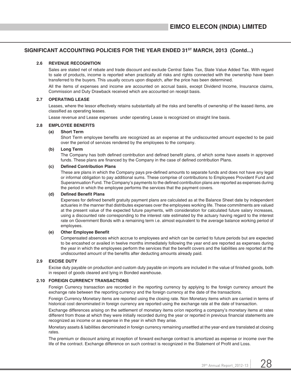#### **SIGNIFICANT ACCOUNTING POLICIES FOR THE YEAR ENDED 31ST MARCH, 2013 (Contd...)**

#### **2.6 REVENUE RECOGNITION**

 Sales are stated net of rebate and trade discount and exclude Central Sales Tax, State Value Added Tax. With regard to sale of products, income is reported when practically all risks and rights connected with the ownership have been transferred to the buyers. This usually occurs upon dispatch, after the price has been determined.

 All the items of expenses and income are accounted on accrual basis, except Dividend Income, Insurance claims, Commission and Duty Drawback received which are accounted on receipt basis.

#### **2.7 OPERATING LEASE**

Leases, where the lessor effectively retains substantially all the risks and benefits of ownership of the leased items, are classified as operating leases.

Lease revenue and Lease expenses under operating Lease is recognized on straight line basis.

#### **2.8 EMPLOYEE BENEFITS**

#### **(a) Short Term**

Short Term employee benefits are recognized as an expense at the undiscounted amount expected to be paid over the period of services rendered by the employees to the company.

#### **(b) Long Term**

The Company has both defined contribution and defined benefit plans, of which some have assets in approved funds. These plans are financed by the Company in the case of defined contribution Plans.

#### **(c) Defined Contribution Plans**

These are plans in which the Company pays pre-defined amounts to separate funds and does not have any legal or informal obligation to pay additional sums. These comprise of contributions to Employees Provident Fund and Superannuation Fund. The Company's payments to the defined contribution plans are reported as expenses during the period in which the employee performs the services that the payment covers.

#### **(d) Defined Benefit Plans**

Expenses for defined benefit gratuity payment plans are calculated as at the Balance Sheet date by independent actuaries in the manner that distributes expenses over the employees working life. These commitments are valued at the present value of the expected future payments, with consideration for calculated future salary increases, using a discounted rate corresponding to the interest rate estimated by the actuary having regard to the interest rate on Government Bonds with a remaining term i.e. almost equivalent to the average balance working period of employees.

#### **(e) Other Employee Benefit**

 Compensated absences which accrue to employees and which can be carried to future periods but are expected to be encashed or availed in twelve months immediately following the year end are reported as expenses during the year in which the employees perform the services that the benefit covers and the liabilities are reported at the undiscounted amount of the benefits after deducting amounts already paid.

#### **2.9 EXCISE DUTY**

Excise duty payable on production and custom duty payable on imports are included in the value of finished goods, both in respect of goods cleared and lying in Bonded warehouse.

#### **2.10 FOREIGN CURRENCY TRANSACTIONS**

 Foreign Currency transaction are recorded in the reporting currency by applying to the foreign currency amount the exchange rate between the reporting currency and the foreign currency at the date of the transactions.

 Foreign Currency Monetary items are reported using the closing rate. Non Monetary items which are carried in terms of historical cost denominated in foreign currency are reported using the exchange rate at the date of transaction.

Exchange differences arising on the settlement of monetary items or/on reporting a company's monetary items at rates different from those at which they were initially recorded during the year or reported in previous financial statements are recognized as income or as expense in the year in which they arise.

 Monetary assets & liabilities denominated in foreign currency remaining unsettled at the year-end are translated at closing rates.

 The premium or discount arising at inception of forward exchange contract is amortized as expense or income over the life of the contract. Exchange difference on such contract is recognized in the Statement of Profit and Loss.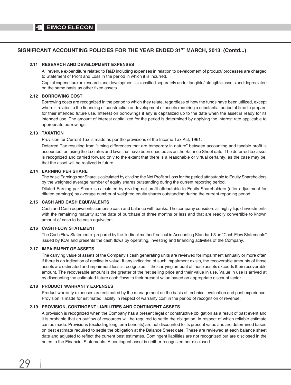## **SIGNIFICANT ACCOUNTING POLICIES FOR THE YEAR ENDED 31ST MARCH, 2013 (Contd...)**

#### **2.11 RESEARCH AND DEVELOPMENT EXPENSES**

 All revenue expenditure related to R&D including expenses in relation to development of product/ processes are charged to Statement of Profit and Loss in the period in which it is incurred.

Capital expenditure on research and development is classified separately under tangible/intangible assets and depreciated on the same basis as other fixed assets.

#### **2.12 BORROWING COST**

 Borrowing costs are recognized in the period to which they relate, regardless of how the funds have been utilized, except where it relates to the financing of construction or development of assets requiring a substantial period of time to prepare for their intended future use. Interest on borrowings if any is capitalized up to the date when the asset is ready for its intended use. The amount of interest capitalized for the period is determined by applying the interest rate applicable to appropriate borrowings.

#### **2.13 TAXATION**

Provision for Current Tax is made as per the provisions of the Income Tax Act, 1961.

Deferred Tax resulting from "timing differences that are temporary in nature" between accounting and taxable profit is accounted for, using the tax rates and laws that have been enacted as on the Balance Sheet date. The deferred tax asset is recognized and carried forward only to the extent that there is a reasonable or virtual certainty, as the case may be, that the asset will be realized in future.

#### **2.14 EARNING PER SHARE**

 The basic Earnings per Share is calculated by dividing the Net Profit or Loss for the period attributable to Equity Shareholders by the weighted average number of equity shares outstanding during the current reporting period.

 Diluted Earning per Share is calculated by dividing net profit attributable to Equity Shareholders (after adjustment for diluted earnings) by average number of weighted equity shares outstanding during the current reporting period.

#### **2.15 CASH AND CASH EQUIVALENTS**

 Cash and Cash equivalents comprise cash and balance with banks. The company considers all highly liquid investments with the remaining maturity at the date of purchase of three months or less and that are readily convertible to known amount of cash to be cash equivalent.

#### **2.16 CASH FLOW STATEMENT**

 The Cash Flow Statement is prepared by the "indirect method" set out in Accounting Standard-3 on "Cash Flow Statements" issued by ICAI and presents the cash flows by operating, investing and financing activities of the Company.

#### **2.17 IMPAIRMENT OF ASSETS**

The carrying value of assets of the Company's cash generating units are reviewed for impairment annually or more often if there is an indication of decline in value. If any indication of such impairment exists, the recoverable amounts of those assets are estimated and impairment loss is recognized, if the carrying amount of those assets exceeds their recoverable amount. The recoverable amount is the greater of the net selling price and their value in use. Value in use is arrived at by discounting the estimated future cash flows to their present value based on appropriate discount factor.

#### **2.18 PRODUCT WARRANTY EXPENSES**

 Product warranty expenses are estimated by the management on the basis of technical evaluation and past experience. Provision is made for estimated liability in respect of warranty cost in the period of recognition of revenue.

#### **2.19 PROVISION, CONTINGENT LIABILITIES AND CONTINGENT ASSETS**

 A provision is recognized when the Company has a present legal or constructive obligation as a result of past event and it is probable that an outflow of resources will be required to settle the obligation, in respect of which reliable estimate can be made. Provisions (excluding long term benefits) are not discounted to its present value and are determined based on best estimate required to settle the obligation at the Balance Sheet date. These are reviewed at each balance sheet date and adjusted to reflect the current best estimates. Contingent liabilities are not recognized but are disclosed in the notes to the Financial Statements. A contingent asset is neither recognized nor disclosed.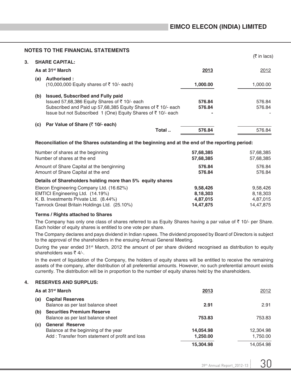|    |     |                                                              |       |          | $(5 \text{ in } \text{lacs})$ |
|----|-----|--------------------------------------------------------------|-------|----------|-------------------------------|
| 3. |     | <b>SHARE CAPITAL:</b>                                        |       |          |                               |
|    |     | As at 31 <sup>st</sup> March                                 |       | 2013     | 2012                          |
|    | (a) | Authorised:                                                  |       |          |                               |
|    |     | $(10,000,000$ Equity shares of ₹ 10/- each)                  |       | 1,000.00 | 1,000.00                      |
|    | (b) | <b>Issued, Subscribed and Fully paid</b>                     |       |          |                               |
|    |     | Issued 57,68,386 Equity Shares of ₹10/- each                 |       | 576.84   | 576.84                        |
|    |     | Subscribed and Paid up 57,68,385 Equity Shares of ₹10/- each |       | 576.84   | 576.84                        |
|    |     | Issue but not Subscribed 1 (One) Equity Shares of ₹10/- each |       |          |                               |
|    | (c) | Par Value of Share (₹ 10/- each)                             |       |          |                               |
|    |     |                                                              | Total | 576.84   | 576.84                        |

#### **Reconciliation of the Shares outstanding at the beginning and at the end of the reporting period:**

| Number of shares at the beginning                          | 57,68,385 | 57,68,385 |
|------------------------------------------------------------|-----------|-----------|
| Number of shares at the end                                | 57,68,385 | 57,68,385 |
| Amount of Share Capital at the benginning                  | 576.84    | 576.84    |
| Amount of Share Capital at the end                         | 576.84    | 576.84    |
| Details of Shareholders holding more than 5% equity shares |           |           |
| Elecon Engineering Company Ltd. (16.62%)                   | 9,58,426  | 9.58.426  |
| EMTICI Engineering Ltd. (14.19%)                           | 8,18,303  | 8,18,303  |
| K. B. Investments Private Ltd. (8.44%)                     | 4,87,015  | 4,87,015  |
| Tamrock Great Britain Holdings Ltd. (25.10%)               | 14,47,875 | 14,47,875 |

#### **Terms / Rights attached to Shares**

The Company has only one class of shares referred to as Equity Shares having a par value of  $\bar{\tau}$  10/- per Share. Each holder of equity shares is entitled to one vote per share.

The Company declares and pays dividend in Indian rupees. The dividend proposed by Board of Directors is subject to the approval of the shareholders in the ensuing Annual General Meeting.

During the year ended 31<sup>st</sup> March, 2012 the amount of per share dividend recognised as distribution to equity shareholders was  $\bar{z}$  4/-.

In the event of liquidation of the Company, the holders of equity shares will be entitled to receive the remaining assets of the company, after distribution of all preferential amounts. However, no such preferential amount exists currently. The distribution will be in proportion to the number of equity shares held by the shareholders.

#### **4. RESERVES AND SURPLUS:**

|     | As at 31 <sup>st</sup> March                                                                                      | 2013                  | 2012                  |
|-----|-------------------------------------------------------------------------------------------------------------------|-----------------------|-----------------------|
| (a) | <b>Capital Reserves</b><br>Balance as per last balance sheet                                                      | 2.91                  | 2.91                  |
| (b) | <b>Securities Premium Reserve</b><br>Balance as per last balance sheet                                            | 753.83                | 753.83                |
| (C) | <b>General Reserve</b><br>Balance at the beginning of the year<br>Add: Transfer from statement of profit and loss | 14,054.98<br>1,250.00 | 12.304.98<br>1,750.00 |
|     |                                                                                                                   | 15,304.98             | 14.054.98             |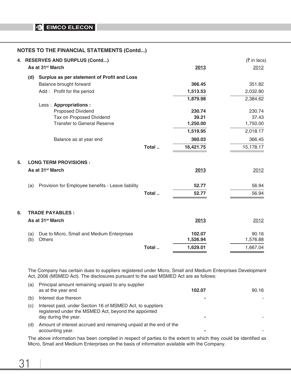|    | 4. RESERVES AND SURPLUS (Contd)<br>As at 31 <sup>st</sup> March |       | 2013      | $($ ₹ in lacs)<br>2012 |
|----|-----------------------------------------------------------------|-------|-----------|------------------------|
|    | Surplus as per statement of Profit and Loss<br>(d)              |       |           |                        |
|    | Balance brought forward                                         |       | 366.45    | 351.82                 |
|    | Add: Profit for the period                                      |       | 1,513.53  | 2,032.80               |
|    |                                                                 |       | 1,879.98  | 2,384.62               |
|    | Less: Appropriations:                                           |       |           |                        |
|    | Proposed Dividend                                               |       | 230.74    | 230.74                 |
|    | Tax on Proposed Dividend                                        |       | 39.21     | 37.43                  |
|    | <b>Transfer to General Reserve</b>                              |       | 1,250.00  | 1,750.00               |
|    |                                                                 |       | 1,519.95  | 2,018.17               |
|    | Balance as at year end                                          |       | 360.03    | 366.45                 |
|    |                                                                 | Total | 16,421.75 | 15,178.17              |
| 5. | <b>LONG TERM PROVISIONS:</b>                                    |       |           |                        |
|    | As at 31 <sup>st</sup> March                                    |       | 2013      | 2012                   |
|    | Provision for Employee benefits - Leave liability<br>(a)        |       | 52.77     | 56.94                  |
|    |                                                                 | Total | 52.77     | 56.94                  |
|    |                                                                 |       |           |                        |
| 6. | <b>TRADE PAYABLES:</b>                                          |       |           |                        |
|    | As at 31 <sup>st</sup> March                                    |       | 2013      | 2012                   |
|    | Due to Micro, Small and Medium Enterprises<br>(a)               |       | 102.07    | 90.16                  |
|    | (b)<br><b>Others</b>                                            |       | 1,526.94  | 1,576.88               |
|    |                                                                 | Total | 1,629.01  | 1,667.04               |

The Company has certain dues to suppliers registered under Micro, Small and Medium Enterprises Development Act, 2006 (MSMED Act). The disclosures pursuant to the said MSMED Act are as follows:

| (a) | Principal amount remaining unpaid to any supplier<br>as at the year end                                                                    | 102.07         | 90.16 |
|-----|--------------------------------------------------------------------------------------------------------------------------------------------|----------------|-------|
| (b) | Interest due thereon                                                                                                                       | $\blacksquare$ |       |
| (c) | Interest paid, under Section 16 of MSMED Act, to suppliers<br>registered under the MSMED Act, beyond the appointed<br>day during the year. | $\blacksquare$ |       |
| (d) | Amount of interest accrued and remaining unpaid at the end of the<br>accounting year.                                                      | $\blacksquare$ |       |

The above information has been compiled in respect of parties to the extent to which they could be identified as Micro, Small and Mediium Enterprises on the basis of information available with the Company.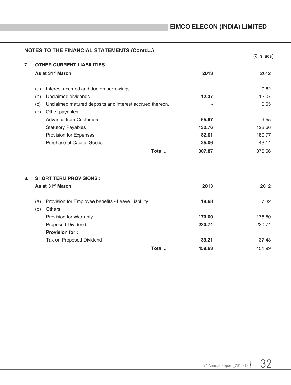|    | <b>NOTES TO THE FINANCIAL STATEMENTS (Contd)</b>                |       |        | $($ ₹ in lacs) |
|----|-----------------------------------------------------------------|-------|--------|----------------|
| 7. | <b>OTHER CURRENT LIABILITIES:</b>                               |       |        |                |
|    | As at 31 <sup>st</sup> March                                    |       | 2013   | 2012           |
|    | Interest accrued and due on borrowings<br>(a)                   |       |        | 0.82           |
|    | Unclaimed dividends<br>(b)                                      |       | 12.37  | 12.07          |
|    | Unclaimed matured deposits and interest accrued thereon.<br>(c) |       |        | 0.55           |
|    | (d)<br>Other payables                                           |       |        |                |
|    | <b>Advance from Customers</b>                                   |       | 55.67  | 9.55           |
|    | <b>Statutory Payables</b>                                       |       | 132.76 | 128.66         |
|    | Provision for Expenses                                          |       | 82.01  | 180.77         |
|    | Purchase of Capital Goods                                       |       | 25.06  | 43.14          |
|    |                                                                 | Total | 307.87 | 375.56         |
|    |                                                                 |       |        |                |
| 8. | <b>SHORT TERM PROVISIONS:</b>                                   |       |        |                |
|    | As at 31 <sup>st</sup> March                                    |       | 2013   | 2012           |
|    | Provision for Employee benefits - Leave Liablility<br>(a)       |       | 19.68  | 7.32           |
|    | <b>Others</b><br>(b)                                            |       |        |                |
|    | Provision for Warranty                                          |       | 170.00 | 176.50         |

| υ. |     | <u>JIIUNI ILNIII FNUVIJIUI J.</u>                  |        |        |
|----|-----|----------------------------------------------------|--------|--------|
|    |     | As at 31 <sup>st</sup> March                       | 2013   | 2012   |
|    | (a) | Provision for Employee benefits - Leave Liablility | 19.68  | 7.32   |
|    | (b) | <b>Others</b>                                      |        |        |
|    |     | Provision for Warranty                             | 170.00 | 176.50 |
|    |     | <b>Proposed Dividend</b>                           | 230.74 | 230.74 |
|    |     | <b>Provision for:</b>                              |        |        |
|    |     | Tax on Proposed Dividend                           | 39.21  | 37.43  |
|    |     |                                                    |        |        |

**Total .. 459.63** 451.99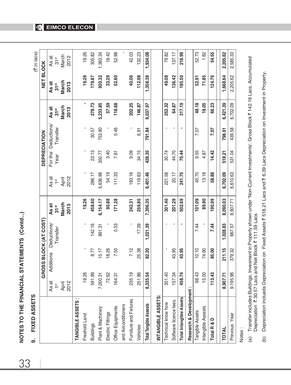| 1,668.64<br>19.26<br>40.06<br>112.98<br>1,358.38<br>49.08<br>71.85<br>124.76<br>920.32<br>136.42<br>185.50<br>179.87<br>33.29<br>52.60<br>52.91<br><b>TEL</b><br><b>March</b><br>As at<br>2013<br>$31$ <sup>st</sup><br>48.18<br>278.73<br>5,233.85<br>57.59<br>118.68<br>202.25<br>252.32<br>317.19<br>18.05<br>6,421.39<br>146.87<br>6,037.97<br>66.23<br>64.87<br><b>March</b><br>As at<br>2013<br>31st<br><b>Deductions</b><br>Transfer<br>0.46<br>753.90<br>791.84<br>30.57<br>7.07<br>7.07<br>798.91<br>6.91<br>DEPRECIATION<br>428.35<br>23.13<br>3.40<br>0.09<br>34.15<br>30.74<br>44.70<br>9.55<br>350.77<br>75.44<br>4.87<br>14.42<br>518.21<br>For the<br>7.81<br>Year<br>193.16<br>6,401.46<br>221.58<br>13.18<br>6,702.09<br>286.17<br>5,636.98<br>54.19<br>119.63<br>241.75<br>45.70<br>58.88<br>111.33<br>20.17<br>As at<br>2012<br>April<br>$\frac{5}{10}$<br>301.40<br>89.90<br>19.26<br>7,396.35<br>201.29<br>101.09<br>458.60<br>90.88<br>171.28<br>259.85<br>502.69<br>190.99<br>8,090.03<br>6,154.17<br>242.31<br><b>March</b><br>As at<br>2013<br>$31$ st<br>-OCK (AT COST)<br>Deductions/<br>142.16<br>7.44<br>1,028.83<br>0.53<br>17.39<br>1,021.39<br>7.44<br>667.57<br>861.31<br>Transfer<br>18.26<br>.50<br>7.12<br>25.38<br>82.20<br>×<br>43.95<br>10.10<br>74.90<br>1.15<br>43.95<br>85.00<br>379.32<br>15.17<br>8.77<br>S<br>Addition<br>$\overline{211}$<br><b>GROSS BI</b><br>19.26<br>591.99<br>251.86<br>98.43<br>15.00<br>235.19<br>301.40<br>72.62<br>8,335.54<br>157.34<br>458.74<br>113.43<br>7,000.31<br>164.31<br>8,907.71<br>As at<br>2012<br>April<br>$\frac{5}{1}$<br>Research & Development:<br><b>INTANGIBLE ASSETS:</b><br><b>Total Intangible Assets</b><br>98<br>Furniture and Fixtures<br>Software licence fees.<br>TANGIBLE ASSETS<br>Technical know how<br><b>Total Tangible Assests</b><br>and Airconditioners<br>Office Equipments<br>Plant & Machinery<br>Intangible Assests<br>Tangible Assets<br>Electric Fittings<br>Freehold Land<br>Total R & D<br><b>Buildings</b><br>Vehicles<br><b>TOTAL</b> | FIXED ASSEIS  |          |  |          |          |        |        |          |          | $(3\bar{5}$ in lacs) |
|------------------------------------------------------------------------------------------------------------------------------------------------------------------------------------------------------------------------------------------------------------------------------------------------------------------------------------------------------------------------------------------------------------------------------------------------------------------------------------------------------------------------------------------------------------------------------------------------------------------------------------------------------------------------------------------------------------------------------------------------------------------------------------------------------------------------------------------------------------------------------------------------------------------------------------------------------------------------------------------------------------------------------------------------------------------------------------------------------------------------------------------------------------------------------------------------------------------------------------------------------------------------------------------------------------------------------------------------------------------------------------------------------------------------------------------------------------------------------------------------------------------------------------------------------------------------------------------------------------------------------------------------------------------------------------------------------------------------------------------------------------------------------------------------------------------------------------------------------------------------------------------------------------------------------------------------------------------------------------------------------------------------------------------------------------|---------------|----------|--|----------|----------|--------|--------|----------|----------|----------------------|
|                                                                                                                                                                                                                                                                                                                                                                                                                                                                                                                                                                                                                                                                                                                                                                                                                                                                                                                                                                                                                                                                                                                                                                                                                                                                                                                                                                                                                                                                                                                                                                                                                                                                                                                                                                                                                                                                                                                                                                                                                                                            |               |          |  |          |          |        |        |          |          | <b>BLOCK</b>         |
|                                                                                                                                                                                                                                                                                                                                                                                                                                                                                                                                                                                                                                                                                                                                                                                                                                                                                                                                                                                                                                                                                                                                                                                                                                                                                                                                                                                                                                                                                                                                                                                                                                                                                                                                                                                                                                                                                                                                                                                                                                                            |               |          |  |          |          |        |        |          |          | As at                |
|                                                                                                                                                                                                                                                                                                                                                                                                                                                                                                                                                                                                                                                                                                                                                                                                                                                                                                                                                                                                                                                                                                                                                                                                                                                                                                                                                                                                                                                                                                                                                                                                                                                                                                                                                                                                                                                                                                                                                                                                                                                            |               |          |  |          |          |        |        |          |          | $31$ st              |
|                                                                                                                                                                                                                                                                                                                                                                                                                                                                                                                                                                                                                                                                                                                                                                                                                                                                                                                                                                                                                                                                                                                                                                                                                                                                                                                                                                                                                                                                                                                                                                                                                                                                                                                                                                                                                                                                                                                                                                                                                                                            |               |          |  |          |          |        |        |          |          | March                |
|                                                                                                                                                                                                                                                                                                                                                                                                                                                                                                                                                                                                                                                                                                                                                                                                                                                                                                                                                                                                                                                                                                                                                                                                                                                                                                                                                                                                                                                                                                                                                                                                                                                                                                                                                                                                                                                                                                                                                                                                                                                            |               |          |  |          |          |        |        |          |          | 2012                 |
|                                                                                                                                                                                                                                                                                                                                                                                                                                                                                                                                                                                                                                                                                                                                                                                                                                                                                                                                                                                                                                                                                                                                                                                                                                                                                                                                                                                                                                                                                                                                                                                                                                                                                                                                                                                                                                                                                                                                                                                                                                                            |               |          |  |          |          |        |        |          |          |                      |
|                                                                                                                                                                                                                                                                                                                                                                                                                                                                                                                                                                                                                                                                                                                                                                                                                                                                                                                                                                                                                                                                                                                                                                                                                                                                                                                                                                                                                                                                                                                                                                                                                                                                                                                                                                                                                                                                                                                                                                                                                                                            |               |          |  |          |          |        |        |          |          | 19.26                |
|                                                                                                                                                                                                                                                                                                                                                                                                                                                                                                                                                                                                                                                                                                                                                                                                                                                                                                                                                                                                                                                                                                                                                                                                                                                                                                                                                                                                                                                                                                                                                                                                                                                                                                                                                                                                                                                                                                                                                                                                                                                            |               |          |  |          |          |        |        |          |          | 305.82               |
|                                                                                                                                                                                                                                                                                                                                                                                                                                                                                                                                                                                                                                                                                                                                                                                                                                                                                                                                                                                                                                                                                                                                                                                                                                                                                                                                                                                                                                                                                                                                                                                                                                                                                                                                                                                                                                                                                                                                                                                                                                                            |               |          |  |          |          |        |        |          |          | 1,363.34             |
|                                                                                                                                                                                                                                                                                                                                                                                                                                                                                                                                                                                                                                                                                                                                                                                                                                                                                                                                                                                                                                                                                                                                                                                                                                                                                                                                                                                                                                                                                                                                                                                                                                                                                                                                                                                                                                                                                                                                                                                                                                                            |               |          |  |          |          |        |        |          |          | 18.42                |
|                                                                                                                                                                                                                                                                                                                                                                                                                                                                                                                                                                                                                                                                                                                                                                                                                                                                                                                                                                                                                                                                                                                                                                                                                                                                                                                                                                                                                                                                                                                                                                                                                                                                                                                                                                                                                                                                                                                                                                                                                                                            |               |          |  |          |          |        |        |          |          | 52.98                |
|                                                                                                                                                                                                                                                                                                                                                                                                                                                                                                                                                                                                                                                                                                                                                                                                                                                                                                                                                                                                                                                                                                                                                                                                                                                                                                                                                                                                                                                                                                                                                                                                                                                                                                                                                                                                                                                                                                                                                                                                                                                            |               |          |  |          |          |        |        |          |          |                      |
|                                                                                                                                                                                                                                                                                                                                                                                                                                                                                                                                                                                                                                                                                                                                                                                                                                                                                                                                                                                                                                                                                                                                                                                                                                                                                                                                                                                                                                                                                                                                                                                                                                                                                                                                                                                                                                                                                                                                                                                                                                                            |               |          |  |          |          |        |        |          |          | 42.03                |
|                                                                                                                                                                                                                                                                                                                                                                                                                                                                                                                                                                                                                                                                                                                                                                                                                                                                                                                                                                                                                                                                                                                                                                                                                                                                                                                                                                                                                                                                                                                                                                                                                                                                                                                                                                                                                                                                                                                                                                                                                                                            |               |          |  |          |          |        |        |          |          | 132.23               |
|                                                                                                                                                                                                                                                                                                                                                                                                                                                                                                                                                                                                                                                                                                                                                                                                                                                                                                                                                                                                                                                                                                                                                                                                                                                                                                                                                                                                                                                                                                                                                                                                                                                                                                                                                                                                                                                                                                                                                                                                                                                            |               |          |  |          |          |        |        |          |          | 1,934.08             |
|                                                                                                                                                                                                                                                                                                                                                                                                                                                                                                                                                                                                                                                                                                                                                                                                                                                                                                                                                                                                                                                                                                                                                                                                                                                                                                                                                                                                                                                                                                                                                                                                                                                                                                                                                                                                                                                                                                                                                                                                                                                            |               |          |  |          |          |        |        |          |          |                      |
|                                                                                                                                                                                                                                                                                                                                                                                                                                                                                                                                                                                                                                                                                                                                                                                                                                                                                                                                                                                                                                                                                                                                                                                                                                                                                                                                                                                                                                                                                                                                                                                                                                                                                                                                                                                                                                                                                                                                                                                                                                                            |               |          |  |          |          |        |        |          |          | 79.82                |
|                                                                                                                                                                                                                                                                                                                                                                                                                                                                                                                                                                                                                                                                                                                                                                                                                                                                                                                                                                                                                                                                                                                                                                                                                                                                                                                                                                                                                                                                                                                                                                                                                                                                                                                                                                                                                                                                                                                                                                                                                                                            |               |          |  |          |          |        |        |          |          | 137.17               |
|                                                                                                                                                                                                                                                                                                                                                                                                                                                                                                                                                                                                                                                                                                                                                                                                                                                                                                                                                                                                                                                                                                                                                                                                                                                                                                                                                                                                                                                                                                                                                                                                                                                                                                                                                                                                                                                                                                                                                                                                                                                            |               |          |  |          |          |        |        |          |          | 216.99               |
|                                                                                                                                                                                                                                                                                                                                                                                                                                                                                                                                                                                                                                                                                                                                                                                                                                                                                                                                                                                                                                                                                                                                                                                                                                                                                                                                                                                                                                                                                                                                                                                                                                                                                                                                                                                                                                                                                                                                                                                                                                                            |               |          |  |          |          |        |        |          |          |                      |
|                                                                                                                                                                                                                                                                                                                                                                                                                                                                                                                                                                                                                                                                                                                                                                                                                                                                                                                                                                                                                                                                                                                                                                                                                                                                                                                                                                                                                                                                                                                                                                                                                                                                                                                                                                                                                                                                                                                                                                                                                                                            |               |          |  |          |          |        |        |          |          | 52.73                |
|                                                                                                                                                                                                                                                                                                                                                                                                                                                                                                                                                                                                                                                                                                                                                                                                                                                                                                                                                                                                                                                                                                                                                                                                                                                                                                                                                                                                                                                                                                                                                                                                                                                                                                                                                                                                                                                                                                                                                                                                                                                            |               |          |  |          |          |        |        |          |          | 1.82                 |
|                                                                                                                                                                                                                                                                                                                                                                                                                                                                                                                                                                                                                                                                                                                                                                                                                                                                                                                                                                                                                                                                                                                                                                                                                                                                                                                                                                                                                                                                                                                                                                                                                                                                                                                                                                                                                                                                                                                                                                                                                                                            |               |          |  |          |          |        |        |          |          | 54.55                |
|                                                                                                                                                                                                                                                                                                                                                                                                                                                                                                                                                                                                                                                                                                                                                                                                                                                                                                                                                                                                                                                                                                                                                                                                                                                                                                                                                                                                                                                                                                                                                                                                                                                                                                                                                                                                                                                                                                                                                                                                                                                            |               |          |  |          |          |        |        |          |          | 2,205.62             |
|                                                                                                                                                                                                                                                                                                                                                                                                                                                                                                                                                                                                                                                                                                                                                                                                                                                                                                                                                                                                                                                                                                                                                                                                                                                                                                                                                                                                                                                                                                                                                                                                                                                                                                                                                                                                                                                                                                                                                                                                                                                            | Previous Year | 9,195.96 |  | 8,907.71 | 6,610.63 | 531.04 | 439.58 | 6,702.09 | 2,205.62 | 2,585.33             |

NOTES TO THE FINANCIAL STATEMENTS (Contd...) 33**NOTES TO THE FINANCIAL STATEMENTS (Contd...)**

# FIXED ASSETS **9. FIXED ASSETS**  $\dot{\mathbf{e}}$

Notes :

- Transfer includes Buildings, Invesment in Property shown under 'Non-Current Investments'. Gross Block ₹142.16 Lacs, Accumulated<br>Depreciation ₹30.57 Lacs and Net Block ₹ 111.59 Lacs (a) Transfer includes Buildings, Invesment in Property shown under 'Non-Current Investments'. Gross Block ` 142.16 Lacs, Accumulated Depreciation  $\bar{x}$  30.57 Lacs and Net Block  $\bar{x}$  111.59 Lacs  $\widehat{a}$
- (b) Depreciation inclueds Depreciation on Fixed Assets ` 518.21 Lacs and ` 6.39 Lacs Depreciation on Investment in Property. Depreciation inclueds Depreciation on Fixed Assets ₹ 518.21 Lacs and ₹ 6.39 Lacs Depreciation on Investment in Property.  $\ddot{\theta}$

## **SEIMCO ELECON**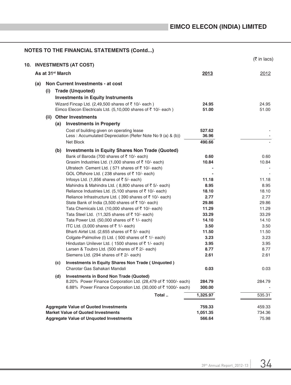| 2012   |
|--------|
|        |
|        |
|        |
|        |
| 24.95  |
| 51.00  |
|        |
|        |
|        |
|        |
|        |
|        |
| 0.60   |
| 10.84  |
|        |
|        |
| 11.18  |
| 8.95   |
| 18.10  |
| 2.77   |
| 29.86  |
| 11.29  |
| 33.29  |
| 14.10  |
| 3.50   |
| 11.50  |
| 3.23   |
| 3.95   |
| 8.77   |
| 2.61   |
|        |
| 0.03   |
|        |
| 284.79 |
|        |
| 535.31 |
|        |
| 459.33 |
| 734.36 |
|        |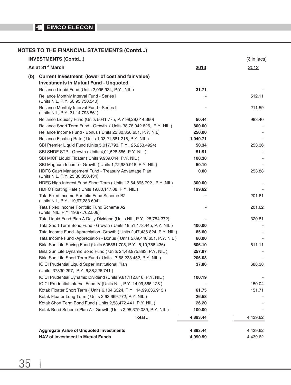| <b>INVESTMENTS (Contd)</b>                                                               |          | $(5 \text{ in } \text{lacs})$ |
|------------------------------------------------------------------------------------------|----------|-------------------------------|
| As at 31 <sup>st</sup> March                                                             | 2013     | 2012                          |
| (b) Current Investment (lower of cost and fair value)                                    |          |                               |
| <b>Investments in Mutual Fund - Unquoted</b>                                             |          |                               |
| Reliance Liquid Fund (Units 2,095.934, P.Y. NIL)                                         | 31.71    |                               |
| Reliance Monthly Interval Fund - Series I<br>(Units NIL, P.Y. 50,95,730.540)             |          | 512.11                        |
| Reliance Monthly Interval Fund - Series II<br>(Units NIL, P.Y. 21,14,793.561)            |          | 211.59                        |
| Reliance Liquidity Fund (Units 5041.775, P.Y 98,29,014.360)                              | 50.44    | 983.40                        |
| Reliance Short Term Fund - Growth ( Units 38,78,042.826, P.Y. NIL )                      | 800.00   |                               |
| Reliance Income Fund - Bonus ( Units 22,30,356.651, P.Y. NIL)                            | 250.00   |                               |
| Reliance Floating Rate ( Units 1,03,21,581.218, P.Y. NIL )                               | 1,040.71 |                               |
| SBI Premier Liquid Fund (Units 5,017.793, P.Y. 25,253.4924)                              | 50.34    | 253.36                        |
| SBI SHDF STP - Growth ( Units 4,01,528.586, P.Y. NIL )                                   | 51.91    |                               |
| SBI MICF Liquid Floater ( Units 9,939.044, P.Y. NIL )                                    | 100.38   |                               |
| SBI Magnum Income - Growth ( Units 1,72,980.916, P.Y. NIL )                              | 50.10    |                               |
| HDFC Cash Management Fund - Treasury Advantage Plan<br>(Units NIL, P.Y. 25,30,850.434)   | 0.00     | 253.88                        |
| HDFC High Interest Fund Short Term ( Units 13,64,895.792, P.Y. NIL)                      | 300.00   |                               |
| HDFC Floating Rate ( Units 19,80,147.08, P.Y. NIL )                                      | 199.62   |                               |
| Tata Fixed Income Portfolio Fund Scheme B2<br>(Units NIL, P.Y. 19,97,283.694)            |          | 201.61                        |
| Tata Fixed Income Portfolio Fund Scheme A2<br>(Units NIL, P.Y. 19,97,762.506)            |          | 201.62                        |
| Tata Liquid Fund Plan A Daily Dividend (Units NIL, P.Y. 28,784.372)                      |          | 320.81                        |
| Tata Short Term Bond Fund - Growth ( Units 19,51,173.445, P.Y. NIL )                     | 400.00   |                               |
| Tata Income Fund -Appreciation -Growth ( Units 2,47,436.824, P.Y. NIL )                  | 85.60    |                               |
| Tata Income Fund -Appreciation - Bonus ( Units 5,69,440.651, P.Y. NIL )                  | 60.00    |                               |
| Birla Sun Life Saving Fund (Units 605561.705, P.Y. 5,10,756.436)                         | 606.10   | 511.11                        |
| Birla Sun Life Dynamic Bond Fund ( Units 24,43,975.883, P.Y. NIL )                       | 257.87   |                               |
| Birla Sun Life Short Term Fund ( Units 17,68,233.452, P.Y. NIL )                         | 206.08   |                               |
| ICICI Prudential Liquid Super Institutional Plan<br>(Units 37830.297, P.Y. 6,88,226.741) | 37.86    | 688.38                        |
| ICICI Prudential Dynamic Dividend (Units 9,81,112.816, P.Y. NIL)                         | 100.19   |                               |
| ICICI Prudential Interval Fund IV (Units NIL, P.Y. 14,99,565.128)                        |          | 150.04                        |
| Kotak Floater Short Term ( Units 6,104.6324, P.Y. 14,99,636.913)                         | 61.75    | 151.71                        |
| Kotak Floater Long Term ( Units 2,63,669.772, P.Y. NIL )                                 | 26.58    |                               |
| Kotak Short Term Bond Fund ( Units 2,58,472.441, P.Y. NIL )                              | 26.20    |                               |
| Kotak Bond Scheme Plan A - Growth (Units 2,95,379.089, P.Y. NIL)                         | 100.00   |                               |
| Total                                                                                    | 4,893.44 | 4,439.62                      |
| <b>Aggregate Value of Unquoted Investments</b>                                           | 4,893.44 | 4,439.62                      |
| <b>NAV of Investment in Mutual Funds</b>                                                 | 4,990.59 | 4,439.62                      |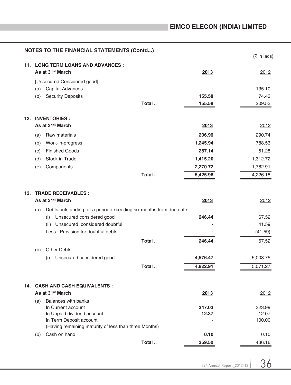|     |     | <b>NOTES TO THE FINANCIAL STATEMENTS (Contd)</b>                          |       |          |                                     |
|-----|-----|---------------------------------------------------------------------------|-------|----------|-------------------------------------|
|     |     |                                                                           |       |          | $(5 \in \mathsf{In} \mathsf{lacs})$ |
|     |     | 11. LONG TERM LOANS AND ADVANCES :<br>As at 31 <sup>st</sup> March        |       | 2013     | 2012                                |
|     |     |                                                                           |       |          |                                     |
|     | (a) | [Unsecured Considered good]<br><b>Capital Advances</b>                    |       |          | 135.10                              |
|     | (b) | <b>Security Deposits</b>                                                  |       | 155.58   | 74.43                               |
|     |     |                                                                           | Total | 155.58   | 209.53                              |
|     |     |                                                                           |       |          |                                     |
| 12. |     | <b>INVENTORIES:</b>                                                       |       |          |                                     |
|     |     | As at 31 <sup>st</sup> March                                              |       | 2013     | 2012                                |
|     | (a) | Raw materials                                                             |       | 206.96   | 290.74                              |
|     | (b) | Work-in-progress                                                          |       | 1,245.94 | 788.53                              |
|     | (c) | <b>Finished Goods</b>                                                     |       | 287.14   | 51.28                               |
|     | (d) | Stock in Trade                                                            |       | 1,415.20 | 1,312.72                            |
|     | (e) | Components                                                                |       | 2,270.72 | 1,782.91                            |
|     |     |                                                                           | Total | 5,425.96 | 4,226.18                            |
|     |     |                                                                           |       |          |                                     |
|     |     | <b>TRADE RECEIVABLES:</b>                                                 |       |          |                                     |
| 13. |     | As at 31 <sup>st</sup> March                                              |       | 2013     | 2012                                |
|     |     |                                                                           |       |          |                                     |
|     | (a) | Debts outstanding for a period exceeding six months from due date:        |       | 246.44   |                                     |
|     |     | Unsecured considered good<br>(i)<br>Unsecured considered doubtful<br>(ii) |       |          | 67.52<br>41.59                      |
|     |     | Less: Provision for doubtful debts                                        |       |          | (41.59)                             |
|     |     |                                                                           |       |          |                                     |
|     |     |                                                                           | Total | 246.44   | 67.52                               |
|     | (b) | Other Debts:                                                              |       |          |                                     |
|     |     | (i) Unsecured considered good                                             |       | 4,576.47 | 5,003.75                            |
|     |     |                                                                           | Total | 4,822.91 | 5,071.27                            |
|     |     |                                                                           |       |          |                                     |
|     |     | 14. CASH AND CASH EQUIVALENTS :                                           |       |          |                                     |
|     |     | As at 31 <sup>st</sup> March                                              |       | 2013     | 2012                                |
|     | (a) | <b>Balances with banks</b>                                                |       |          |                                     |
|     |     | In Current account                                                        |       | 347.03   | 323.99                              |
|     |     | In Unpaid dividend account                                                |       | 12.37    | 12.07                               |
|     |     | In Term Deposit account                                                   |       |          | 100.00                              |
|     |     | (Having remaining maturity of less than three Months)                     |       |          |                                     |
|     | (b) | Cash on hand                                                              |       | 0.10     | 0.10                                |
|     |     |                                                                           | Total | 359.50   | 436.16                              |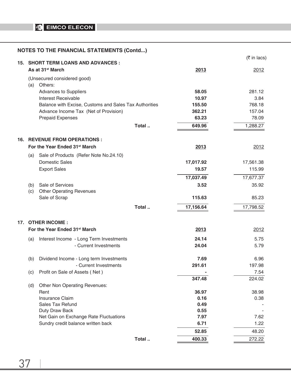|     |     |                                                                        |       |               | (₹ in lacs) |
|-----|-----|------------------------------------------------------------------------|-------|---------------|-------------|
| 15. |     | <b>SHORT TERM LOANS AND ADVANCES :</b><br>As at 31 <sup>st</sup> March |       | 2013          | 2012        |
|     |     | (Unsecured considered good)                                            |       |               |             |
|     | (a) | Others:                                                                |       |               |             |
|     |     | <b>Advances to Suppliers</b>                                           |       | 58.05         | 281.12      |
|     |     | <b>Interest Receivable</b>                                             |       | 10.97         | 3.84        |
|     |     | Balance with Excise, Customs and Sales Tax Authorities                 |       | 155.50        | 768.18      |
|     |     | Advance Income Tax (Net of Provision)                                  |       | 362.21        | 157.04      |
|     |     | <b>Prepaid Expenses</b>                                                |       | 63.23         | 78.09       |
|     |     |                                                                        | Total | 649.96        | 1,288.27    |
|     |     | <b>16. REVENUE FROM OPERATIONS:</b>                                    |       |               |             |
|     |     | For the Year Ended 31 <sup>st</sup> March                              |       | 2013          | 2012        |
|     | (a) | Sale of Products (Refer Note No.24.10)                                 |       |               |             |
|     |     | <b>Domestic Sales</b>                                                  |       | 17,017.92     | 17,561.38   |
|     |     | <b>Export Sales</b>                                                    |       | 19.57         | 115.99      |
|     |     |                                                                        |       | 17,037.49     | 17,677.37   |
|     | (b) | Sale of Services                                                       |       | 3.52          | 35.92       |
|     | (c) | <b>Other Operating Revenues</b>                                        |       |               |             |
|     |     | Sale of Scrap                                                          |       | 115.63        | 85.23       |
|     |     |                                                                        | Total | 17,156.64     | 17,798.52   |
| 17. |     | <b>OTHER INCOME:</b>                                                   |       |               |             |
|     |     | For the Year Ended 31 <sup>st</sup> March                              |       | 2013          | 2012        |
|     | (a) | Interest Income - Long Term Investments                                |       | 24.14         | 5.75        |
|     |     | - Current Investments                                                  |       | 24.04         | 5.79        |
|     | (b) | Dividend Income - Long term Investments                                |       | 7.69          | 6.96        |
|     |     | - Current Investments                                                  |       | 291.61        | 197.98      |
|     | (c) | Profit on Sale of Assets (Net)                                         |       |               | 7.54        |
|     |     |                                                                        |       | 347.48        | 224.02      |
|     | (d) | <b>Other Non Operating Revenues:</b>                                   |       |               |             |
|     |     | Rent<br><b>Insurance Claim</b>                                         |       | 36.97<br>0.16 | 38.98       |
|     |     | Sales Tax Refund                                                       |       | 0.49          | 0.38        |
|     |     | Duty Draw Back                                                         |       | 0.55          |             |
|     |     | Net Gain on Exchange Rate Fluctuations                                 |       | 7.97          | 7.62        |
|     |     | Sundry credit balance written back                                     |       | 6.71          | 1.22        |
|     |     |                                                                        |       | 52.85         | 48.20       |
|     |     |                                                                        | Total | 400.33        | 272.22      |
|     |     |                                                                        |       |               |             |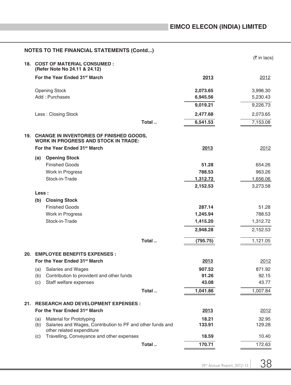|     | <b>NOTES TO THE FINANCIAL STATEMENTS (Contd)</b>                                               |       |                    |                               |
|-----|------------------------------------------------------------------------------------------------|-------|--------------------|-------------------------------|
|     |                                                                                                |       |                    | $(5 \text{ in } \text{lacs})$ |
|     | 18. COST OF MATERIAL CONSUMED :<br>(Refer Note No 24.11 & 24.12)                               |       |                    |                               |
|     | For the Year Ended 31 <sup>st</sup> March                                                      |       | 2013               | 2012                          |
|     | <b>Opening Stock</b>                                                                           |       | 2,073.65           | 3,996.30                      |
|     | Add: Purchases                                                                                 |       | 6,945.56           | 5,230.43                      |
|     |                                                                                                |       | 9,019.21           | 9,226.73                      |
|     | Less: Closing Stock                                                                            |       | 2,477.68           | 2,073.65                      |
|     |                                                                                                | Total | 6,541.53           | 7,153.08                      |
|     | 19. CHANGE IN INVENTORIES OF FINISHED GOODS,<br><b>WORK IN PROGRESS AND STOCK IN TRADE:</b>    |       |                    |                               |
|     | For the Year Ended 31 <sup>st</sup> March                                                      |       | 2013               | 2012                          |
|     | <b>Opening Stock</b><br>(a)                                                                    |       |                    |                               |
|     | <b>Finished Goods</b>                                                                          |       | 51.28              | 654.26                        |
|     | Work in Progress                                                                               |       | 788.53             | 963.26                        |
|     | Stock-in-Trade                                                                                 |       | 1,312.72           | 1,656.06                      |
|     |                                                                                                |       | 2,152.53           | 3,273.58                      |
|     | Less :                                                                                         |       |                    |                               |
|     | <b>Closing Stock</b><br>(b)                                                                    |       |                    |                               |
|     | <b>Finished Goods</b><br>Work in Progress                                                      |       | 287.14<br>1,245.94 | 51.28<br>788.53               |
|     | Stock-in-Trade                                                                                 |       | 1,415.20           | 1,312.72                      |
|     |                                                                                                |       | 2,948.28           | 2,152.53                      |
|     |                                                                                                |       |                    |                               |
|     |                                                                                                | Total | (795.75)           | 1,121.05                      |
| 20. | <b>EMPLOYEE BENEFITS EXPENSES :</b>                                                            |       |                    |                               |
|     | For the Year Ended 31 <sup>st</sup> March                                                      |       | 2013               | 2012                          |
|     | Salaries and Wages<br>(a)                                                                      |       | 907.52             | 871.92                        |
|     | Contribution to provident and other funds<br>(b)                                               |       | 91.26              | 92.15                         |
|     | Staff welfare expenses<br>(c)                                                                  |       | 43.08              | 43.77                         |
|     |                                                                                                | Total | 1,041.86           | 1,007.84                      |
| 21. | <b>RESEARCH AND DEVELOPMENT EXPENSES :</b>                                                     |       |                    |                               |
|     | For the Year Ended 31 <sup>st</sup> March                                                      |       | 2013               | 2012                          |
|     | <b>Material for Prototyping</b><br>(a)                                                         |       | 18.21              | 32.95                         |
|     | Salaries and Wages, Contribution to PF and other funds and<br>(b)<br>other related expenditure |       | 133.91             | 129.28                        |
|     | Travelling, Conveyance and other expenses<br>(c)                                               |       | 18.59              | 10.40                         |
|     |                                                                                                | Total | 170.71             | 172.63                        |
|     |                                                                                                |       |                    |                               |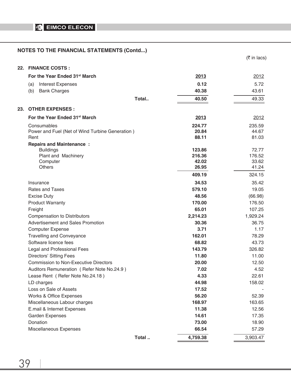|     |                                                 |       |                | $(\overline{\mathfrak{k}})$ in lacs) |
|-----|-------------------------------------------------|-------|----------------|--------------------------------------|
| 22. | <b>FINANCE COSTS:</b>                           |       |                |                                      |
|     | For the Year Ended 31 <sup>st</sup> March       |       | 2013           | 2012                                 |
|     | <b>Interest Expenses</b><br>(a)                 |       | 0.12           | 5.72                                 |
|     | (b)<br><b>Bank Charges</b>                      |       | 40.38          | 43.61                                |
|     |                                                 | Total | 40.50          | 49.33                                |
| 23. | <b>OTHER EXPENSES:</b>                          |       |                |                                      |
|     | For the Year Ended 31 <sup>st</sup> March       |       | 2013           | 2012                                 |
|     | Consumables                                     |       | 224.77         | 235.59                               |
|     | Power and Fuel (Net of Wind Turbine Generation) |       | 20.84          | 44.67                                |
|     | Rent                                            |       | 88.11          | 81.03                                |
|     | <b>Repairs and Maintenance:</b>                 |       |                |                                      |
|     | <b>Buildings</b>                                |       | 123.86         | 72.77                                |
|     | Plant and Machinery                             |       | 216.36         | 176.52                               |
|     | Computer<br><b>Others</b>                       |       | 42.02<br>26.95 | 33.62<br>41.24                       |
|     |                                                 |       | 409.19         | 324.15                               |
|     | Insurance                                       |       | 34.53          | 35.42                                |
|     | <b>Rates and Taxes</b>                          |       | 579.10         | 19.05                                |
|     | <b>Excise Duty</b>                              |       | 48.56          | (66.98)                              |
|     | <b>Product Warranty</b>                         |       | 170.00         | 176.50                               |
|     | Freight                                         |       | 65.01          | 107.25                               |
|     | <b>Compensation to Distributors</b>             |       | 2,214.23       | 1,929.24                             |
|     | Advertisement and Sales Promotion               |       | 30.36          | 36.75                                |
|     |                                                 |       | 3.71           | 1.17                                 |
|     | <b>Computer Expense</b>                         |       |                |                                      |
|     | <b>Travelling and Conveyance</b>                |       | 162.01         | 78.29                                |
|     | Software licence fees                           |       | 68.82          | 43.73                                |
|     | Legal and Professional Fees                     |       | 143.79         | 326.82                               |
|     | <b>Directors' Sitting Fees</b>                  |       | 11.80          | 11.00                                |
|     | <b>Commission to Non-Executive Directors</b>    |       | 20.00          | 12.50                                |
|     | Auditors Remuneration (Refer Note No.24.9)      |       | 7.02           | 4.52                                 |
|     | Lease Rent (Refer Note No.24.18)                |       | 4.33           | 22.61                                |
|     | LD charges                                      |       | 44.98          | 158.02                               |
|     | Loss on Sale of Assets                          |       | 17.52          |                                      |
|     | Works & Office Expenses                         |       | 56.20          | 52.39                                |
|     | Miscellaneous Labour charges                    |       | 168.97         | 163.65                               |
|     | E.mail & Internet Expenses                      |       | 11.38          | 12.56                                |
|     | <b>Garden Expenses</b>                          |       | 14.61          | 17.35                                |
|     | Donation                                        |       | 73.00          | 18.90                                |
|     | Miscellaneous Expenses                          |       | 66.54          | 57.29                                |
|     |                                                 | Total | 4,759.38       | 3,903.47                             |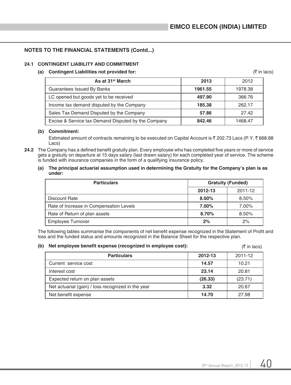#### **24.1 CONTINGENT LIABILITY AND COMMITMENT**

#### **(a) Contingent Liabilities not provided for:**

 **As at 31st March 2013** 2012 Guarantees Issued By Banks **1961.55** 1978.38 LC opened but goods yet to be received **497.90** 497.90 497.90 Income tax demand disputed by the Company **185.38** 262.17 Sales Tax Demand Disputed by the Company **57.86** 1 27.42 Excise & Service tax Demand Disputed by the Company **842.46** 1468.47

#### **(b) Commitment:**

Estimated amount of contracts remaining to be executed on Capital Account is  $\bar{\tau}$  202.73 Lacs (P.Y.  $\bar{\tau}$  668.88 Lacs)

**24.2** The Company has a defined benefit gratuity plan. Every employee who has completed five years or more of service gets a gratuity on departure at 15 days salary (last drawn salary) for each completed year of service. The scheme is funded with insurance companies in the form of a qualifying insurance policy.

#### **(a) The principal actuarial assumption used in determining the Gratuity for the Company's plan is as under:**

| <b>Particulars</b>                      |          | <b>Gratuity (Funded)</b> |  |
|-----------------------------------------|----------|--------------------------|--|
|                                         | 2012-13  | 2011-12                  |  |
| Discount Rate                           | $8.00\%$ | 8.50%                    |  |
| Rate of Increase in Compensation Levels | 7.00%    | 7.00%                    |  |
| Rate of Return of plan assets           | 8.70%    | 8.50%                    |  |
| <b>Employee Turnover</b>                | 2%       | 2%                       |  |

The following tables summarise the components of net benefit expense recognized in the Statement of Profit and loss and the funded status and amounts recognized in the Balance Sheet for the respective plan.

#### **(b) Net employee benefit expense (recognized in employee cost):**

 **Particulars 2012-13** 2011-12 Current service cost **14.57** 10.21 Interest cost **23.14** 20.81 Expected return on plan assets **(26.33)** (23.71) Net actuarial (gain) / loss recognized in the year **3.32** 20.67 Net benefit expense **14.70** 27.98

 $3^{9th}$  Annual Report\_2012-13  $\overline{\mathbf{1}}$ 

 $($ ₹ in lacs)

 $($ ₹ in lacs)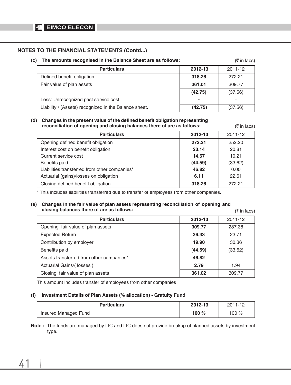#### **(c) The amounts recognised in the Balance Sheet are as follows:**

| <b>Particulars</b>                                    | 2012-13 | 2011-12 |
|-------------------------------------------------------|---------|---------|
| Defined benefit obligation                            | 318.26  | 272.21  |
| Fair value of plan assets                             | 361.01  | 309.77  |
|                                                       | (42.75) | (37.56) |
| Less: Unrecognized past service cost                  |         | ۰       |
| Liability / (Assets) recognized in the Balance sheet. | (42.75) | (37.56) |

 $(\bar{\bar{\tau}}$  in lacs)

 $($ ₹ in lacs)

 $($ ₹ in lacs)

#### **(d) Changes in the present value of the defined benefit obligation representing reconciliation of opening and closing balances there of are as follows:**

 **Particulars 2012-13** 2011-12 Opening defined benefit obligation **272.21** 252.20 Interest cost on benefit obligation **23.14** 20.81 Current service cost **14.57** 10.21 Benefits paid **(44.59)** (33.62) Liabilities transferred from other companies\* **46.82** 0.00 Actuarial (gains)/losses on obligation **6.11 6.11** 22.61 Closing defined benefit obligation **318.26** 272.21

This includes liabilities transferred due to transfer of employees from other companies.

#### **(e) Changes in the fair value of plan assets representing reconciliation of opening and closing balances there of are as follows:**

| <b>Particulars</b>                       | 2012-13 | 2011-12 |
|------------------------------------------|---------|---------|
| Opening fair value of plan assets        | 309.77  | 287.38  |
| <b>Expected Return</b>                   | 26.33   | 23.71   |
| Contribution by employer                 | 19.90   | 30.36   |
| Benefits paid                            | (44.59) | (33.62) |
| Assets transferred from other companies* | 46.82   | ٠       |
| Actuarial Gains/(losses)                 | 2.79    | 1.94    |
| Closing fair value of plan assets        | 361.02  | 309.77  |

This amount includes transfer of employees from other companies

#### **(f) Investment Details of Plan Assets (% allocation) - Gratuity Fund**

41

| <b>Particulars</b>   | 2012-13 | 2011-12 |
|----------------------|---------|---------|
| Insured Managed Fund | 100 $%$ | 100 $%$ |

**Note :** The funds are managed by LIC and LIC does not provide breakup of planned assets by investment type.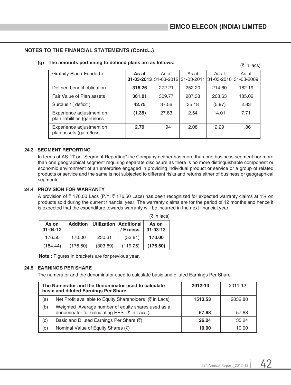|                                                          |        |        |                                                                 |        | $(5 \text{ m})$ acs) |
|----------------------------------------------------------|--------|--------|-----------------------------------------------------------------|--------|----------------------|
| Gratuity Plan (Funded)                                   | As at  | As at  | As at<br>31-03-2013 31-03-2012 31-03-2011 31-03-2010 31-03-2009 | As at  | As at                |
| Defined benefit obligation                               | 318.26 | 272.21 | 252.20                                                          | 214.60 | 182.19               |
| Fair Value of Plan assets                                | 361.01 | 309.77 | 287.38                                                          | 208.63 | 185.02               |
| Surplus / (deficit)                                      | 42.75  | 37.56  | 35.18                                                           | (5.97) | 2.83                 |
| Experience adjustment on<br>plan liabilities (gain)/loss | (1.35) | 27.83  | 2.54                                                            | 14.01  | 7.71                 |
| Experience adjustment on<br>plan assets (gain)/loss      | 2.79   | 1.94   | 2.08                                                            | 2.29   | 1.86                 |

## **(g)** The amounts pertaining to defined plans are as follows:  $(\vec{r} \text{ in } \text{loc})$

#### **24.3 SEGMENT REPORTING**

In terms of AS-17 on "Segment Reporting" the Company neither has more than one business segment nor more than one geographical segment requiring separate disclosure as there is no more distinguishable component or economic environment of an enterprise engaged in providing individual product or service or a group of related products or service and the same is not subjected to different risks and returns either of business or geographical segments.

#### **24.4 PROVISION FOR WARRANTY**

A provision of ₹ 170.00 Lacs (P.Y. ₹ 176.50 Lacs) has been recognized for expected warranty claims at 1% on products sold during the current financial year. The warranty claims are for the period of 12 months and hence it is expected that the expenditure towards warranty will be incurred in the next financial year.

|                         |                 |                          |          | $($ ₹ in lacs)          |
|-------------------------|-----------------|--------------------------|----------|-------------------------|
| As on<br>$01 - 04 - 12$ | <b>Addition</b> | Utilization   Additional | / Excess | As on<br>$31 - 03 - 13$ |
| 176.50                  | 170.00          | 230.31                   | (53.81)  | 170.00                  |
| (184.44)                | (176.50)        | (303.69)                 | (119.25) | (176.50)                |

**Note :** Figures in brackets are for previous year.

#### **24.5 EARNINGS PER SHARE**

The numerator and the denominator used to calculate basic and diluted Earnings Per Share.

|     | The Numerator and the Denominator used to calculate<br>basic and diluted Earnings Per Share.      | 2012-13 | 2011-12 |
|-----|---------------------------------------------------------------------------------------------------|---------|---------|
| (a) | Net Profit available to Equity Shareholders (₹ in Lacs)                                           | 1513.53 | 2032.80 |
| (b) | Weighted Average number of equity shares used as a<br>denominator for calculating EPS (₹ in Lacs) | 57.68   | 57.68   |
| (c) | Basic and Diluted Earnings Per Share $(\bar{\zeta})$                                              | 26.24   | 35.24   |
| (d) | Nominal Value of Equity Shares (₹)                                                                | 10.00   | 10.00   |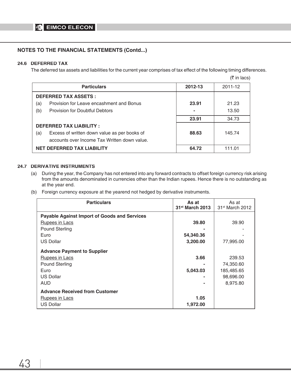#### **24.6 DEFERRED TAX**

The deferred tax assets and liabilities for the current year comprises of tax effect of the following timing differences.

 $($ ₹ in lacs)

|     | <b>Particulars</b>                           | 2012-13 | 2011-12 |
|-----|----------------------------------------------|---------|---------|
|     | <b>DEFERRED TAX ASSETS :</b>                 |         |         |
| (a) | Provision for Leave encashment and Bonus     | 23.91   | 21.23   |
| (b) | <b>Provision for Doubtful Debtors</b>        |         | 13.50   |
|     |                                              | 23.91   | 34.73   |
|     | <b>DEFERRED TAX LIABILITY:</b>               |         |         |
| (a) | Excess of written down value as per books of | 88.63   | 145.74  |
|     | accounts over Income Tax Written down value. |         |         |
|     | <b>NET DEFERRED TAX LIABILITY</b>            | 64.72   | 111.01  |
|     |                                              |         |         |

#### **24.7 DERIVATIVE INSTRUMENTS**

- (a) During the year, the Company has not entered into any forward contracts to offset foreign currency risk arising from the amounts denominated in currencies other than the Indian rupees. Hence there is no outstanding as at the year end.
- (b) Foreign currency exposure at the yearend not hedged by derivative instruments.

| <b>Particulars</b>                                  | As at<br>31 <sup>st</sup> March 2013 | As at<br>31 <sup>st</sup> March 2012 |
|-----------------------------------------------------|--------------------------------------|--------------------------------------|
| <b>Payable Against Import of Goods and Services</b> |                                      |                                      |
| <b>Rupees in Lacs</b>                               | 39.80                                | 39.90                                |
| <b>Pound Sterling</b>                               |                                      |                                      |
| Euro                                                | 54,340.36                            |                                      |
| <b>US Dollar</b>                                    | 3,200.00                             | 77,995.00                            |
| <b>Advance Payment to Supplier</b>                  |                                      |                                      |
| <b>Rupees in Lacs</b>                               | 3.66                                 | 239.53                               |
| <b>Pound Sterling</b>                               |                                      | 74,350.60                            |
| Euro                                                | 5,043.03                             | 185,485.65                           |
| <b>US Dollar</b>                                    |                                      | 98,696.00                            |
| <b>AUD</b>                                          |                                      | 8,975.80                             |
| <b>Advance Received from Customer</b>               |                                      |                                      |
| <b>Rupees in Lacs</b>                               | 1.05                                 |                                      |
| <b>US Dollar</b>                                    | 1,972.00                             |                                      |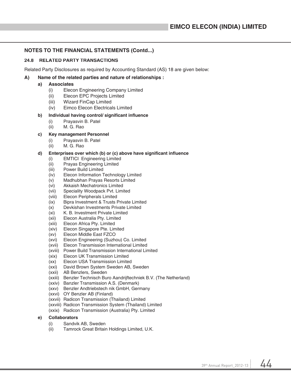#### **24.8 RELATED PARTY TRANSACTIONS**

Related Party Disclosures as required by Accounting Standard (AS) 18 are given below:

#### **A) Name of the related parties and nature of relationships :**

#### **a) Associates**

- (i) Elecon Engineering Company Limited
- (ii) Elecon EPC Projects Limited
- (iii) Wizard FinCap Limited
- (iv) Eimco Elecon Electricals Limited

#### **b) Individual having control/ significant influence**

- (i) Prayasvin B. Patel
- (ii) M. G. Rao

#### **c) Key management Personnel**

- (i) Prayasvin B. Patel
- (ii) M. G. Rao

#### **d) Enterprises over which (b) or (c) above have significant influence**

- (i) EMTICI Engineering Limited
- (ii) Prayas Engineering Limited
- (iii) Power Build Limited
- (iv) Elecon Information Technology Limited
- (v) Madhubhan Prayas Resorts Limited
- (vi) Akkaish Mechatronics Limited
- (vii) Speciality Woodpack Pvt. Limited
- (viii) Elecon Peripherals Limited
- (ix) Bipra Investment & Trusts Private Limited
- (x) Devkishan Investments Private Limited
- (xi) K. B. Investment Private Limited
- (xii) Elecon Australia Pty. Limited<br>(xiii) Elecon Africa Pty. Limited
- Elecon Africa Pty. Limited
- (xiv) Elecon Singapore Pte. Limited
- (xv) Elecon Middle East FZCO
- (xvi) Elecon Engineering (Suzhou) Co. Limited
- (xvii) Elecon Transmission International Limited
- (xviii) Power Build Transmission International Limited
- (xix) Elecon UK Transmission Limited
- (xx) Elecon USA Transmission Limited
- (xxi) David Brown System Sweden AB, Sweden
- (xxii) AB Benzlers, Sweden
- (xxiii) Benzler Technisch Buro Aandrijftechniek B.V. (The Netherland)
- (xxiv) Banzler Transmission A.S. (Denmark)
- (xxv) Benzler Andtriebstech nik GmbH, Germany
- (xxvi) OY Benzler AB (Finland)
- (xxvii) Radicon Transmission (Thailand) Limited
- (xxviii) Radicon Transmission System (Thailand) Limited
- (xxix) Radicon Transmission (Australia) Pty. Limited

#### **e) Collaborators**

- (i) Sandvik AB, Sweden
- (ii) Tamrock Great Britain Holdings Limited, U.K.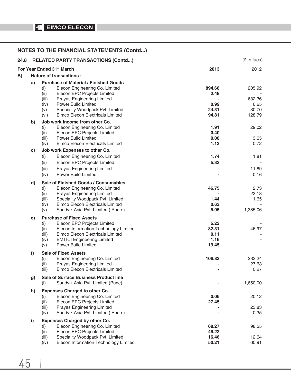| 24.8 |    | <b>RELATED PARTY TRANSACTIONS (Contd)</b>                                                                                                                                                                                                                                                        |                                          | $(5 \text{ in } \text{lacs})$               |
|------|----|--------------------------------------------------------------------------------------------------------------------------------------------------------------------------------------------------------------------------------------------------------------------------------------------------|------------------------------------------|---------------------------------------------|
|      |    | For Year Ended 31 <sup>st</sup> March                                                                                                                                                                                                                                                            | 2013                                     | 2012                                        |
| B)   |    | <b>Nature of transactions:</b>                                                                                                                                                                                                                                                                   |                                          |                                             |
|      | a) | <b>Purchase of Material / Finished Goods</b><br>Elecon Engineering Co. Limited<br>(i)<br>(ii)<br>Elecon EPC Projects Limited<br>Prayas Engineering Limited<br>(iii)<br><b>Power Build Limited</b><br>(iv)<br>Speciality Woodpack Pvt. Limited<br>(v)<br>Eimco Elecon Electricals Limited<br>(vi) | 894.68<br>2.48<br>0.99<br>24.31<br>94.81 | 205.92<br>632.36<br>6.65<br>30.70<br>128.79 |
|      | b) | Job work Income from other Co.<br>Elecon Engineering Co. Limited<br>(i)<br>(ii)<br>Elecon EPC Projects Limited<br><b>Power Build Limited</b><br>(iii)<br>Eimco Elecon Electricals Limited<br>(iv)                                                                                                | 1.91<br>0.40<br>0.08<br>1.13             | 29.02<br>3.65<br>0.72                       |
|      | C) | Job work Expenses to other Co.<br>Elecon Engineering Co. Limited<br>(i)<br>(ii)<br>Elecon EPC Projects Limited<br>(iii)<br>Prayas Engineering Limited<br><b>Power Build Limited</b><br>(iv)                                                                                                      | 1.74<br>5.32                             | 1.81<br>11.89<br>0.16                       |
|      | d) | Sale of Finished Goods / Consumables<br>Elecon Engineering Co. Limited<br>(i)<br>Prayas Engineering Limited<br>(ii)<br>Speciality Woodpack Pvt. Limited<br>(iii)<br>Eimco Elecon Electricals Limited<br>(iv)<br>(v)<br>Sandvik Asia Pvt. Limited (Pune)                                          | 46.75<br>1.44<br>0.63<br>5.05            | 2.73<br>23.18<br>1.65<br>1,385.06           |
|      | e) | <b>Purchase of Fixed Assets</b><br>Elecon EPC Projects Limited<br>(i)<br>Elecon Information Technology Limited<br>(ii)<br>Eimco Elecon Electricals Limited<br>(iii)<br><b>EMTICI Engineering Limited</b><br>(iv)<br><b>Power Build Limited</b><br>(v)                                            | 5.23<br>82.31<br>0.11<br>1.16<br>19.45   | 46.97                                       |
|      | f  | <b>Sale of Fixed Assets</b><br>(i)<br>Elecon Engineering Co. Limited<br>(ii)<br>Prayas Engineering Limited<br>(iii)<br>Eimco Elecon Electricals Limited                                                                                                                                          | 106.82                                   | 233.24<br>27.63<br>0.27                     |
|      | g) | <b>Sale of Surface Business Product line</b><br>Sandvik Asia Pvt. Limited (Pune)<br>(i)                                                                                                                                                                                                          |                                          | 1,650.00                                    |
|      | h) | <b>Expenses Charged to other Co.</b><br>Elecon Engineering Co. Limited<br>(i)<br>(ii)<br>Elecon EPC Projects Limited<br>Prayas Engineering Limited<br>(iii)<br>Sandvik Asia Pvt. Limited (Pune)<br>(iv)                                                                                          | 0.06<br>27.45                            | 20.12<br>23.83<br>0.35                      |
|      | i) | <b>Expenses Charged by other Co.</b><br>Elecon Engineering Co. Limited<br>(i)<br>Elecon EPC Projects Limited<br>(ii)<br>Speciality Woodpack Pvt. Limited<br>(iii)<br>Elecon Information Technology Limited<br>(iv)                                                                               | 68.27<br>49.22<br>16.46<br>50.21         | 98.55<br>12.64<br>60.91                     |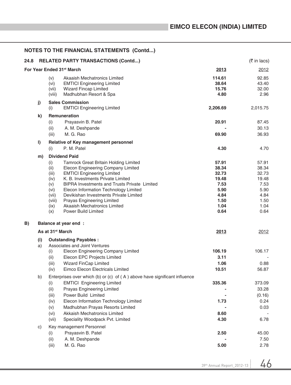|  | 24.8 RELATED PARTY TRANSACTIONS (Contd) | $(3\overline{5})$ in lacs) |
|--|-----------------------------------------|----------------------------|
|--|-----------------------------------------|----------------------------|

|    |                                                                                     | For Year Ended 31st March                                                                                                                                                                                                                                                                                                                                                                                    | 2013                                                                             | 2012                                                                             |
|----|-------------------------------------------------------------------------------------|--------------------------------------------------------------------------------------------------------------------------------------------------------------------------------------------------------------------------------------------------------------------------------------------------------------------------------------------------------------------------------------------------------------|----------------------------------------------------------------------------------|----------------------------------------------------------------------------------|
|    | (v)<br>(vi)<br>(vii)<br>(viii)                                                      | Akaaish Mechatronics Limited<br><b>EMTICI Engineering Limited</b><br><b>Wizard Fincap Limited</b><br>Madhubhan Resort & Spa                                                                                                                                                                                                                                                                                  | 114.61<br>38.64<br>15.76<br>4.80                                                 | 92.85<br>43.40<br>32.00<br>2.96                                                  |
|    | j)<br>(i)                                                                           | <b>Sales Commission</b><br><b>EMTICI Engineering Limited</b>                                                                                                                                                                                                                                                                                                                                                 | 2,206.69                                                                         | 2,015.75                                                                         |
|    | $\mathbf{k}$<br>(i)<br>(ii)<br>(iii)                                                | <b>Remuneration</b><br>Prayasvin B. Patel<br>A. M. Deshpande<br>M. G. Rao                                                                                                                                                                                                                                                                                                                                    | 20.91<br>69.90                                                                   | 87.45<br>30.13<br>36.93                                                          |
|    | $\mathsf{I}$<br>(i)                                                                 | Relative of Key management personnel<br>P. M. Patel                                                                                                                                                                                                                                                                                                                                                          | 4.30                                                                             | 4.70                                                                             |
|    | m)<br>(i)<br>(ii)<br>(iii)<br>(iv)<br>(v)<br>(vi)<br>(vii)<br>(viii)<br>(ix)<br>(x) | <b>Dividend Paid</b><br>Tamrock Great Britain Holding Limited<br>Elecon Engineering Company Limited<br><b>EMTICI Engineering Limited</b><br>K. B. Investments Private Limited<br>BIPRA Investments and Trusts Private Limited<br>Elecon Information Technology Limited<br>Devikishan Investments Private Limited<br>Prayas Engineering Limited<br>Akaaish Mechatronics Limited<br><b>Power Build Limited</b> | 57.91<br>38.34<br>32.73<br>19.48<br>7.53<br>5.90<br>4.84<br>1.50<br>1.04<br>0.64 | 57.91<br>38.34<br>32.73<br>19.48<br>7.53<br>5.90<br>4.84<br>1.50<br>1.04<br>0.64 |
| B) |                                                                                     | <b>Balance at year end :</b>                                                                                                                                                                                                                                                                                                                                                                                 |                                                                                  |                                                                                  |
|    |                                                                                     | As at 31 <sup>st</sup> March                                                                                                                                                                                                                                                                                                                                                                                 | 2013                                                                             | 2012                                                                             |
|    | (i)<br>a)<br>(i)<br>(ii)<br>(iii)<br>(iv)                                           | <b>Outstanding Payables:</b><br>Associates and Joint Ventures<br>Elecon Engineering Company Limited<br>Elecon EPC Projects Limited<br><b>Wizard FinCap Limited</b><br>Eimco Elecon Electricals Limited                                                                                                                                                                                                       | 106.19<br>3.11<br>1.06<br>10.51                                                  | 106.17<br>0.88<br>56.87                                                          |
|    | b)<br>(i)<br>(ii)<br>(iii)<br>(iv)<br>(v)<br>(vi)<br>(vii)                          | Enterprises over which (b) or (c) of (A) above have significant influence<br><b>EMTICI Engineering Limited</b><br><b>Prayas Engineering Limited</b><br>Power Build Limited<br>Elecon Information Technology Limited<br>Madhubhan Prayas Resorts Limited<br>Akkaish Mechatronics Limited<br>Speciality Woodpack Pvt. Limited                                                                                  | 335.36<br>1.73<br>8.60<br>4.30                                                   | 373.09<br>33.28<br>(0.16)<br>0.24<br>0.03<br>6.78                                |
|    | c)<br>(i)<br>(ii)<br>(iii)                                                          | Key management Personnel<br>Prayasvin B. Patel<br>A. M. Deshpande<br>M. G. Rao                                                                                                                                                                                                                                                                                                                               | 2.50<br>5.00                                                                     | 45.00<br>7.50<br>2.78                                                            |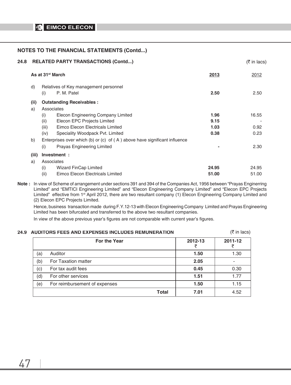|       |                                     |                                             |                                                                                                                                                                                                                                                                                                                                                                                | $(5 \nvert \text{in} \nvert \text{acs})$ |
|-------|-------------------------------------|---------------------------------------------|--------------------------------------------------------------------------------------------------------------------------------------------------------------------------------------------------------------------------------------------------------------------------------------------------------------------------------------------------------------------------------|------------------------------------------|
|       |                                     |                                             | 2013                                                                                                                                                                                                                                                                                                                                                                           | 2012                                     |
| d)    |                                     |                                             |                                                                                                                                                                                                                                                                                                                                                                                |                                          |
|       | (i)                                 |                                             |                                                                                                                                                                                                                                                                                                                                                                                | 2.50                                     |
| (ii)  | <b>Outstanding Receivables:</b>     |                                             |                                                                                                                                                                                                                                                                                                                                                                                |                                          |
| a)    | Associates                          |                                             |                                                                                                                                                                                                                                                                                                                                                                                |                                          |
|       | (i)                                 |                                             | 1.96                                                                                                                                                                                                                                                                                                                                                                           | 16.55                                    |
|       | (ii)                                |                                             | 9.15                                                                                                                                                                                                                                                                                                                                                                           |                                          |
|       | (iii)                               |                                             | 1.03                                                                                                                                                                                                                                                                                                                                                                           | 0.92                                     |
|       | (iv)                                |                                             | 0.38                                                                                                                                                                                                                                                                                                                                                                           | 0.23                                     |
| b)    |                                     |                                             |                                                                                                                                                                                                                                                                                                                                                                                |                                          |
|       | (i)                                 |                                             |                                                                                                                                                                                                                                                                                                                                                                                | 2.30                                     |
| (iii) | Investment :                        |                                             |                                                                                                                                                                                                                                                                                                                                                                                |                                          |
| a)    | Associates                          |                                             |                                                                                                                                                                                                                                                                                                                                                                                |                                          |
|       | <b>Wizard FinCap Limited</b><br>(i) |                                             | 24.95                                                                                                                                                                                                                                                                                                                                                                          | 24.95                                    |
|       | (ii)                                |                                             | 51.00                                                                                                                                                                                                                                                                                                                                                                          | 51.00                                    |
|       |                                     | As at 31 <sup>st</sup> March<br>P. M. Patel | 24.8 RELATED PARTY TRANSACTIONS (Contd)<br>Relatives of Key management personnel<br>Elecon Engineering Company Limited<br>Elecon EPC Projects Limited<br>Eimco Elecon Electricals Limited<br>Speciality Woodpack Pvt. Limited<br>Enterprises over which (b) or (c) of $(A)$ above have significant influence<br>Prayas Engineering Limited<br>Eimco Elecon Electricals Limited | 2.50                                     |

**Note :** In view of Scheme of arrangement under sections 391 and 394 of the Companies Act, 1956 between "Prayas Enginerring Limited" and "EMTICI Engineering Limited" and "Elecon Engineering Company Limited" and "Elecon EPC Projects Limited" effective from 1<sup>st</sup> April 2012, there are two resultant company (1) Elecon Engineering Company Limited and (2) Elecon EPC Projects Limited.

Hence, business transaction made during F.Y.12-13 with Elecon Engineering Company Limited and Prayas Engineering Limited has been bifurcated and transferred to the above two resultant companies.

In view of the above previous year's figures are not comparable with current year's figures.

#### **24.9 AUDITORS FEES AND EXPENSES INCLUDES REMUNERATION**

 $($ ₹ in lacs)

|     | For the Year                  | 2012-13 | 2011-12 |
|-----|-------------------------------|---------|---------|
| (a) | Auditor                       | 1.50    | 1.30    |
| (b) | For Taxation matter           | 2.05    | ٠       |
| (c) | For tax audit fees            | 0.45    | 0.30    |
| (d) | For other services            | 1.51    | 1.77    |
| (e) | For reimbursement of expenses | 1.50    | 1.15    |
|     | <b>Total</b>                  | 7.01    | 4.52    |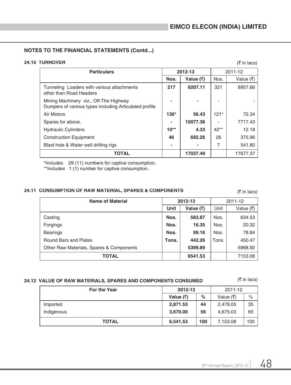#### **24.10 TURNOVER**  $(\bar{\bar{\zeta}})$  in lacs)

| <b>Particulars</b>                                                                               | 2012-13 |           | 2011-12 |                           |
|--------------------------------------------------------------------------------------------------|---------|-----------|---------|---------------------------|
|                                                                                                  | Nos.    | Value (₹) | Nos.    | Value $(\overline{\tau})$ |
| Tunneling Loaders with various attachments<br>other than Road Headers                            | 217     | 6207.11   | 321     | 8957.66                   |
| Mining Machinery viz., Off-The Highway<br>Dumpers of various types including Articulated profile |         |           |         |                           |
| Air Motors                                                                                       | $136*$  | 56.43     | $121*$  | 72.34                     |
| Spares for above.                                                                                |         | 10077.36  |         | 7717.43                   |
| <b>Hydraulic Cylinders</b>                                                                       | $10**$  | 4.33      | $42**$  | 12.18                     |
| <b>Construction Equipment</b>                                                                    | 46      | 692.26    | 26      | 375.96                    |
| Blast hole & Water well drilling rigs                                                            |         |           | 7       | 541.80                    |
| <b>TOTAL</b>                                                                                     |         | 17037.49  |         | 17677.37                  |

\*Includes 29 (11) numbers for captive consumption.

\*\*Includes 1 (1) number for captive consumption.

## **24.11 CONSUMPTION OF RAW MATERIAL, SPARES & COMPONENTS** (₹ in lacs)

| <b>Name of Material</b>                  | 2012-13     |           | 2011-12 |                           |
|------------------------------------------|-------------|-----------|---------|---------------------------|
|                                          | <b>Unit</b> | Value (₹) | Unit    | Value $(\overline{\tau})$ |
| Casting                                  | Nos.        | 583.87    | Nos.    | 634.53                    |
| Forgings                                 | Nos.        | 16.35     | Nos.    | 20.32                     |
| <b>Bearings</b>                          | Nos.        | 99.16     | Nos.    | 78.84                     |
| Round Bars and Plates                    | Tons.       | 442.26    | Tons.   | 450.47                    |
| Other Raw Materials, Spares & Components |             | 5399.89   |         | 5968.92                   |
| TOTAL                                    |             | 6541.53   |         | 7153.08                   |

| <b>24.12 VALUE OF RAW MATERIALS, SPARES AND COMPONENTS CONSUMED</b> | (₹ in lacs) |
|---------------------------------------------------------------------|-------------|
|---------------------------------------------------------------------|-------------|

| For the Year | 2012-13                   |     | 2011-12                   |      |
|--------------|---------------------------|-----|---------------------------|------|
|              | $\%$<br>Value $(\bar{z})$ |     | Value $(\overline{\tau})$ | $\%$ |
| Imported     | 2,871.53                  | 44  | 2,478.05                  | 35   |
| Indigenous   | 3,670.00                  | 56  | 4,675.03                  | 65   |
| <b>TOTAL</b> | 6,541.53                  | 100 | 7,153.08                  | 100  |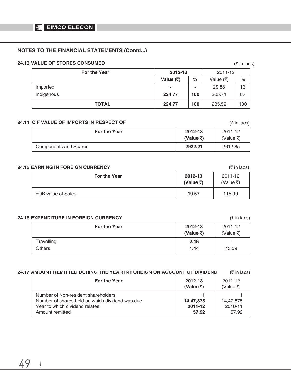#### **24.13 VALUE OF STORES CONSUMED**

| <b>For the Year</b> | 2012-13           |                | 2011-12                         |      |
|---------------------|-------------------|----------------|---------------------------------|------|
|                     | Value $(\bar{z})$ | $\%$           | Value $(\overline{\mathbf{z}})$ | $\%$ |
| Imported            | $\blacksquare$    | $\blacksquare$ | 29.88                           | 13   |
| Indigenous          | 224.77            | 100            | 205.71                          | 87   |
| <b>TOTAL</b>        | 224.77            | 100            | 235.59                          | 100  |

#### **24.14 CIF VALUE OF IMPORTS IN RESPECT OF**

| <b>For the Year</b>          | 2012-13<br>(Value ₹) | 2011-12<br>(Value ₹) |
|------------------------------|----------------------|----------------------|
| <b>Components and Spares</b> | 2922.21              | 2612.85              |

#### **24.15 EARNING IN FOREIGN CURRENCY**

| <b>EARNING IN FOREIGN CURRENCY</b> |                      | (₹ in lacs)          |
|------------------------------------|----------------------|----------------------|
| <b>For the Year</b>                | 2012-13<br>(Value ₹) | 2011-12<br>(Value ₹) |
| FOB value of Sales                 | 19.57                | 115.99               |

#### **24.16 EXPENDITURE IN FOREIGN CURRENCY**

| For the Year  | 2012-13            | 2011-12   |
|---------------|--------------------|-----------|
|               | (Value $\bar{z}$ ) | (Value ₹) |
| Travelling    | 2.46               |           |
| <b>Others</b> | 1.44               | 43.59     |

| 24.17 AMOUNT REMITTED DURING THE YEAR IN FOREIGN ON ACCOUNT OF DIVIDEND | (₹ in lacs) |
|-------------------------------------------------------------------------|-------------|
|-------------------------------------------------------------------------|-------------|

| <b>For the Year</b>                                                                                                                         | 2012-13<br>(Value ₹)          | 2011-12<br>(Value ₹)          |
|---------------------------------------------------------------------------------------------------------------------------------------------|-------------------------------|-------------------------------|
| Number of Non-resident shareholders<br>Number of shares held on which dividend was due<br>Year to which dividend relates<br>Amount remitted | 14,47,875<br>2011-12<br>57.92 | 14.47.875<br>2010-11<br>57.92 |

|  |  |  | (₹ in lacs) |
|--|--|--|-------------|
|--|--|--|-------------|

 $($ ₹ in lacs)

 $($ ₹ in lacs)

49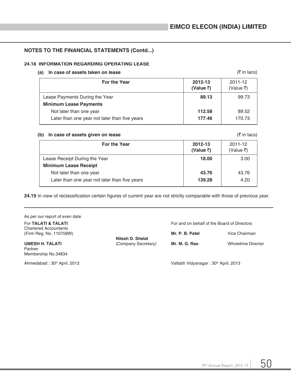## **24.18 INFORMATION REGARDING OPERATING LEASE**

## **(a) In case of assets taken on lease**

| For the Year                                                             | 2012-13<br>(Value $\bar{z}$ ) | 2011-12<br>(Value ₹) |
|--------------------------------------------------------------------------|-------------------------------|----------------------|
| Lease Payments During the Year<br><b>Minimum Lease Payments</b>          | 89.13                         | 99.73                |
| Not later than one year<br>Later than one year not later than five years | 112.58<br>177.46              | 89.52<br>170.73      |

## **(b) In case of assets given on lease**

| For the Year                                  | 2012-13<br>(Value ₹) | 2011-12<br>(Value ₹) |
|-----------------------------------------------|----------------------|----------------------|
| Lease Receipt During the Year                 | 18.00                | 3.00                 |
| <b>Minimum Lease Receipt</b>                  |                      |                      |
| Not later than one year                       | 43.76                | 43.76                |
| Later than one year not later than five years | 139.28               | 4.20                 |

**24.19** In view of reclassification certain figures of current year are not strictly comparable with those of previous year.

As per our report of even date Chartered Accountants

(Firm Reg. No. 110758W)

Partner Membership No.34834

**Nilesh D. Shelat**<br>
UMESH H. TALATI (Company Secret (Company Secretary)

For **TALATI & TALATI FOR A TALATI For TALATI EXECUTE:** For and on behalf of the Board of Directors

| Mr. P. B. Patel | Vice Chairman             |
|-----------------|---------------------------|
| Mr. M. G. Rao   | <b>Wholetime Director</b> |

Ahmedabad : 30<sup>th</sup> April, 2013 **Vallabh Vidyanagar : 30<sup>th</sup> April, 2013** Vallabh Vidyanagar : 30<sup>th</sup> April, 2013

 $39th$  Annual Report\_2012-13  $\overline{\hspace{1ex}}$  50



 $($ ₹ in lacs)

 $($ ₹ in lacs)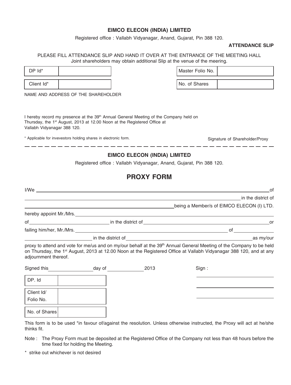## **EIMCO ELECON (INDIA) LIMITED EIMCO ELECON (INDIA) LIMITED**

Registered office : Vallabh Vidyanagar, Anand, Gujarat, Pin 388 120.

#### **ATTENDANCE SLIP**

PLEASE FILL ATTENDANCE SLIP AND HAND IT OVER AT THE ENTRANCE OF THE MEETING HALL Joint shareholders may obtain additional Slip at the venue of the meering.

| $DP$ $Id^*$ |  |
|-------------|--|
| Client Id*  |  |
|             |  |

NAME AND ADDRESS OF THE SHAREHOLDER

I hereby record my presence at the 39<sup>th</sup> Annual General Meeting of the Company held on Thursday, the 1<sup>st</sup> August, 2013 at 12.00 Noon at the Registered Office at Vallabh Vidyanagar 388 120.

\* Applicable for invevestors holding shares in electronic form. The Supervention of Shareholder/Proxy

Master Folio No. No. of Shares

## **EIMCO ELECON (INDIA) LIMITED**

Registered office : Vallabh Vidyanagar, Anand, Gujarat, Pin 388 120.

## **PROXY FORM**

|                         |                         | of                                                                                                                                                                                                                                                              |
|-------------------------|-------------------------|-----------------------------------------------------------------------------------------------------------------------------------------------------------------------------------------------------------------------------------------------------------------|
|                         |                         | in the district of                                                                                                                                                                                                                                              |
|                         |                         | being a Member/s of EIMCO ELECON (I) LTD.                                                                                                                                                                                                                       |
|                         |                         |                                                                                                                                                                                                                                                                 |
|                         |                         |                                                                                                                                                                                                                                                                 |
|                         |                         |                                                                                                                                                                                                                                                                 |
|                         |                         | as my/our                                                                                                                                                                                                                                                       |
| adjournment thereof.    | Signed this day of 2013 | proxy to attend and vote for me/us and on my/our behalf at the 39th Annual General Meeting of the Company to be held<br>on Thursday, the 1 <sup>st</sup> August, 2013 at 12.00 Noon at the Registered Office at Vallabh Vidyanagar 388 120, and at any<br>Sign: |
| DP. Id                  |                         |                                                                                                                                                                                                                                                                 |
| Client Id/<br>Folio No. |                         |                                                                                                                                                                                                                                                                 |
| No. of Shares           |                         |                                                                                                                                                                                                                                                                 |

This form is to be used \*in favour of/against the resolution. Unless otherwise instructed, the Proxy will act at he/she thinks fit.

Note : The Proxy Form must be deposited at the Registered Office of the Company not less than 48 hours before the time fixed for holding the Meeting.

\* strike out whichever is not desired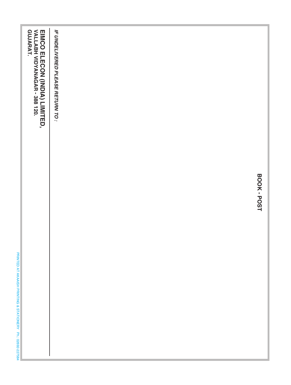| <b>GUJARAT.</b><br>PRINTED AT AKAAISH PRINTING & STATIONERY Ph.: 02692-227584 | EIMCO ELECON (INDIA) LIMITED,<br>VALLABH VIDYANAGAR - 388 120. | <b>IF UNDELIVERED PLEASE RETURN TO:</b><br>BOOK - POST |  |
|-------------------------------------------------------------------------------|----------------------------------------------------------------|--------------------------------------------------------|--|
|                                                                               |                                                                |                                                        |  |